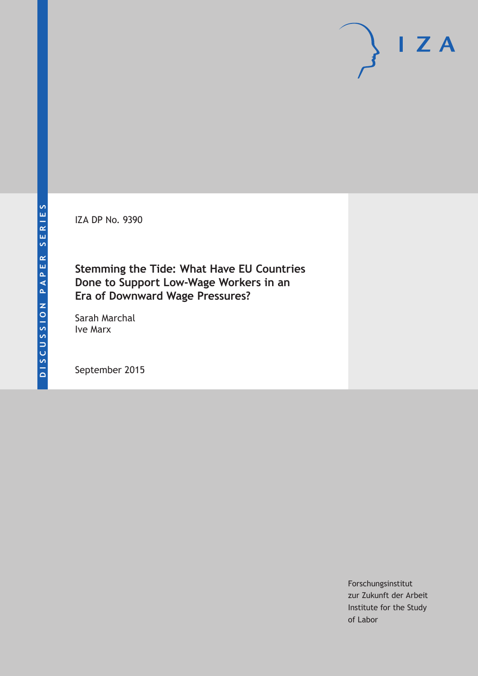IZA DP No. 9390

# **Stemming the Tide: What Have EU Countries Done to Support Low-Wage Workers in an Era of Downward Wage Pressures?**

Sarah Marchal Ive Marx

September 2015

Forschungsinstitut zur Zukunft der Arbeit Institute for the Study of Labor

 $I Z A$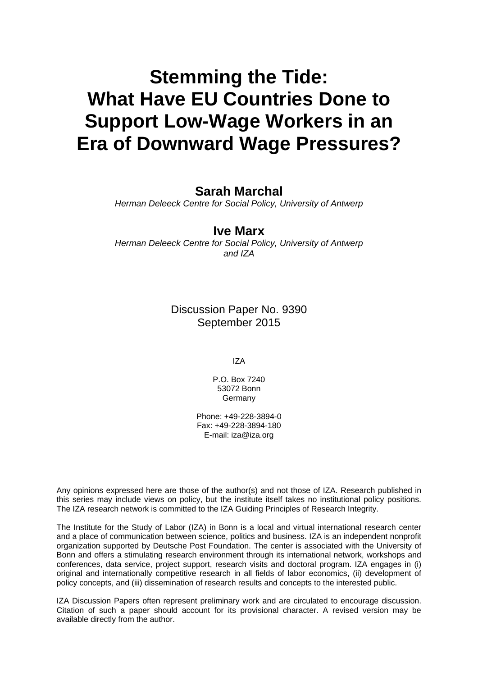# **Stemming the Tide: What Have EU Countries Done to Support Low-Wage Workers in an Era of Downward Wage Pressures?**

# **Sarah Marchal**

*Herman Deleeck Centre for Social Policy, University of Antwerp* 

# **Ive Marx**

*Herman Deleeck Centre for Social Policy, University of Antwerp and IZA* 

> Discussion Paper No. 9390 September 2015

> > IZA

P.O. Box 7240 53072 Bonn Germany

Phone: +49-228-3894-0 Fax: +49-228-3894-180 E-mail: iza@iza.org

Any opinions expressed here are those of the author(s) and not those of IZA. Research published in this series may include views on policy, but the institute itself takes no institutional policy positions. The IZA research network is committed to the IZA Guiding Principles of Research Integrity.

The Institute for the Study of Labor (IZA) in Bonn is a local and virtual international research center and a place of communication between science, politics and business. IZA is an independent nonprofit organization supported by Deutsche Post Foundation. The center is associated with the University of Bonn and offers a stimulating research environment through its international network, workshops and conferences, data service, project support, research visits and doctoral program. IZA engages in (i) original and internationally competitive research in all fields of labor economics, (ii) development of policy concepts, and (iii) dissemination of research results and concepts to the interested public.

IZA Discussion Papers often represent preliminary work and are circulated to encourage discussion. Citation of such a paper should account for its provisional character. A revised version may be available directly from the author.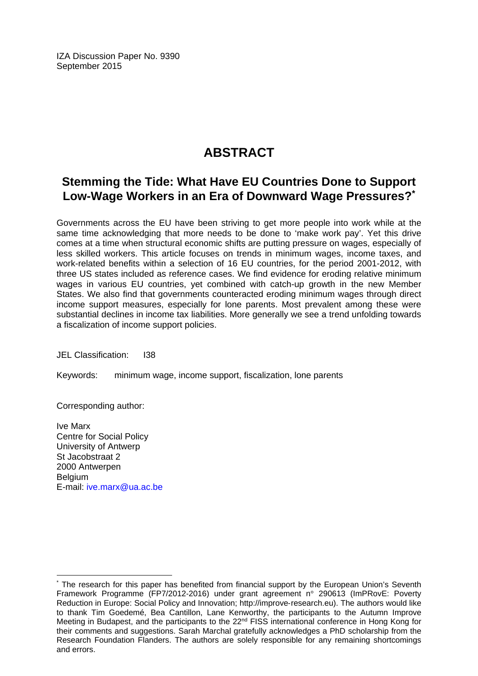IZA Discussion Paper No. 9390 September 2015

# **ABSTRACT**

# **Stemming the Tide: What Have EU Countries Done to Support Low-Wage Workers in an Era of Downward Wage Pressures?\***

Governments across the EU have been striving to get more people into work while at the same time acknowledging that more needs to be done to 'make work pay'. Yet this drive comes at a time when structural economic shifts are putting pressure on wages, especially of less skilled workers. This article focuses on trends in minimum wages, income taxes, and work-related benefits within a selection of 16 EU countries, for the period 2001-2012, with three US states included as reference cases. We find evidence for eroding relative minimum wages in various EU countries, yet combined with catch-up growth in the new Member States. We also find that governments counteracted eroding minimum wages through direct income support measures, especially for lone parents. Most prevalent among these were substantial declines in income tax liabilities. More generally we see a trend unfolding towards a fiscalization of income support policies.

JEL Classification: I38

Keywords: minimum wage, income support, fiscalization, lone parents

Corresponding author:

Ive Marx Centre for Social Policy University of Antwerp St Jacobstraat 2 2000 Antwerpen **Belgium** E-mail: ive.marx@ua.ac.be

 $\overline{a}$ 

<sup>\*</sup> The research for this paper has benefited from financial support by the European Union's Seventh Framework Programme (FP7/2012‐2016) under grant agreement n° 290613 (ImPRovE: Poverty Reduction in Europe: Social Policy and Innovation; http://improve‐research.eu). The authors would like to thank Tim Goedemé, Bea Cantillon, Lane Kenworthy, the participants to the Autumn Improve Meeting in Budapest, and the participants to the 22<sup>nd</sup> FISS international conference in Hong Kong for their comments and suggestions. Sarah Marchal gratefully acknowledges a PhD scholarship from the Research Foundation Flanders. The authors are solely responsible for any remaining shortcomings and errors.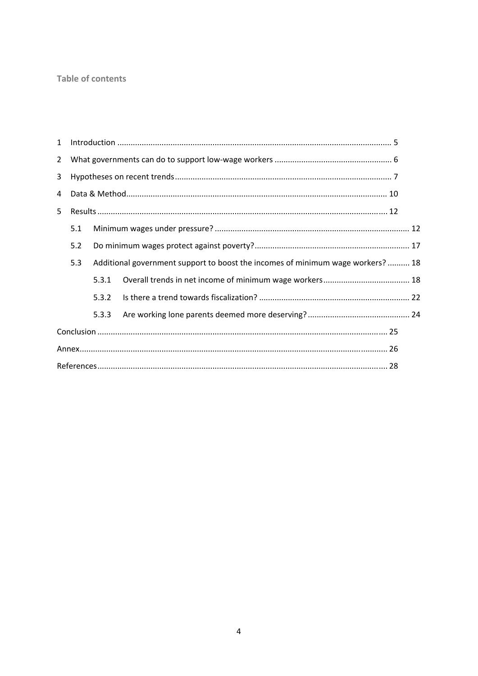## **Table of contents**

| $\mathbf{1}$   |     |       |                                                                                |  |  |  |  |  |  |  |  |  |
|----------------|-----|-------|--------------------------------------------------------------------------------|--|--|--|--|--|--|--|--|--|
| $\overline{2}$ |     |       |                                                                                |  |  |  |  |  |  |  |  |  |
| 3              |     |       |                                                                                |  |  |  |  |  |  |  |  |  |
| 4              |     |       |                                                                                |  |  |  |  |  |  |  |  |  |
| 5.             |     |       |                                                                                |  |  |  |  |  |  |  |  |  |
|                | 5.1 |       |                                                                                |  |  |  |  |  |  |  |  |  |
|                | 5.2 |       |                                                                                |  |  |  |  |  |  |  |  |  |
|                | 5.3 |       | Additional government support to boost the incomes of minimum wage workers? 18 |  |  |  |  |  |  |  |  |  |
|                |     | 5.3.1 |                                                                                |  |  |  |  |  |  |  |  |  |
|                |     | 5.3.2 |                                                                                |  |  |  |  |  |  |  |  |  |
|                |     | 5.3.3 |                                                                                |  |  |  |  |  |  |  |  |  |
|                |     |       |                                                                                |  |  |  |  |  |  |  |  |  |
|                |     |       |                                                                                |  |  |  |  |  |  |  |  |  |
|                |     |       |                                                                                |  |  |  |  |  |  |  |  |  |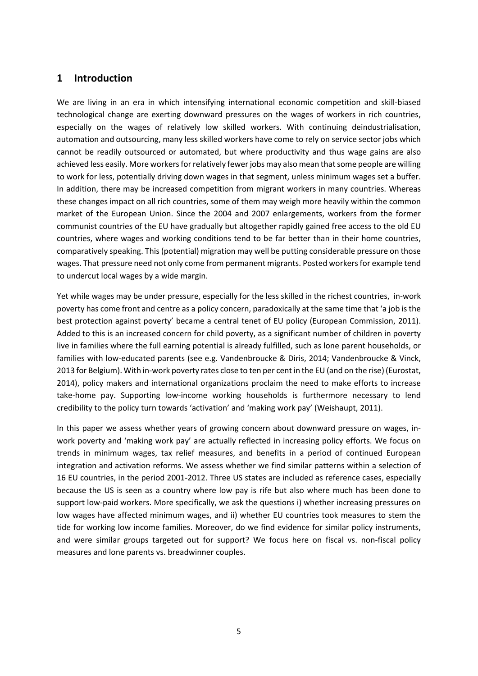## **1 Introduction**

We are living in an era in which intensifying international economic competition and skill‐biased technological change are exerting downward pressures on the wages of workers in rich countries, especially on the wages of relatively low skilled workers. With continuing deindustrialisation, automation and outsourcing, many less skilled workers have come to rely on service sector jobs which cannot be readily outsourced or automated, but where productivity and thus wage gains are also achieved less easily. More workers for relatively fewer jobs may also mean that some people are willing to work for less, potentially driving down wages in that segment, unless minimum wages set a buffer. In addition, there may be increased competition from migrant workers in many countries. Whereas these changes impact on all rich countries, some of them may weigh more heavily within the common market of the European Union. Since the 2004 and 2007 enlargements, workers from the former communist countries of the EU have gradually but altogether rapidly gained free access to the old EU countries, where wages and working conditions tend to be far better than in their home countries, comparatively speaking. This(potential) migration may well be putting considerable pressure on those wages. That pressure need not only come from permanent migrants. Posted workersfor example tend to undercut local wages by a wide margin.

Yet while wages may be under pressure, especially for the less skilled in the richest countries, in‐work poverty has come front and centre as a policy concern, paradoxically at the same time that 'a job is the best protection against poverty' became a central tenet of EU policy (European Commission, 2011). Added to this is an increased concern for child poverty, as a significant number of children in poverty live in families where the full earning potential is already fulfilled, such as lone parent households, or families with low‐educated parents (see e.g. Vandenbroucke & Diris, 2014; Vandenbroucke & Vinck, 2013 for Belgium). With in-work poverty rates close to ten per cent in the EU (and on the rise) (Eurostat, 2014), policy makers and international organizations proclaim the need to make efforts to increase take-home pay. Supporting low-income working households is furthermore necessary to lend credibility to the policy turn towards 'activation' and 'making work pay' (Weishaupt, 2011).

In this paper we assess whether years of growing concern about downward pressure on wages, in‐ work poverty and 'making work pay' are actually reflected in increasing policy efforts. We focus on trends in minimum wages, tax relief measures, and benefits in a period of continued European integration and activation reforms. We assess whether we find similar patterns within a selection of 16 EU countries, in the period 2001‐2012. Three US states are included as reference cases, especially because the US is seen as a country where low pay is rife but also where much has been done to support low-paid workers. More specifically, we ask the questions i) whether increasing pressures on low wages have affected minimum wages, and ii) whether EU countries took measures to stem the tide for working low income families. Moreover, do we find evidence for similar policy instruments, and were similar groups targeted out for support? We focus here on fiscal vs. non-fiscal policy measures and lone parents vs. breadwinner couples.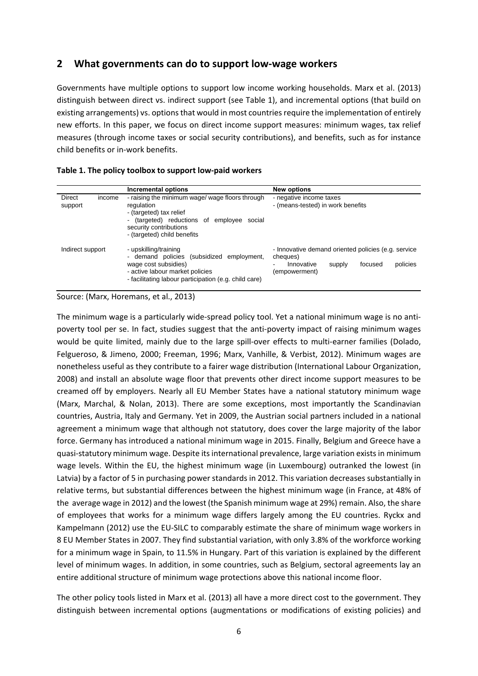# **2 What governments can do to support low‐wage workers**

Governments have multiple options to support low income working households. Marx et al. (2013) distinguish between direct vs. indirect support (see Table 1), and incremental options (that build on existing arrangements) vs. options that would in most countries require the implementation of entirely new efforts. In this paper, we focus on direct income support measures: minimum wages, tax relief measures (through income taxes or social security contributions), and benefits, such as for instance child benefits or in‐work benefits.

|                   |        | Incremental options                                                                                                                                                                             | New options                                                                                                                     |
|-------------------|--------|-------------------------------------------------------------------------------------------------------------------------------------------------------------------------------------------------|---------------------------------------------------------------------------------------------------------------------------------|
| Direct<br>support | income | - raising the minimum wage/ wage floors through<br>regulation<br>- (targeted) tax relief<br>- (targeted) reductions of employee social<br>security contributions<br>- (targeted) child benefits | - negative income taxes<br>- (means-tested) in work benefits                                                                    |
| Indirect support  |        | - upskilling/training<br>- demand policies (subsidized employment,<br>wage cost subsidies)<br>- active labour market policies<br>- facilitating labour participation (e.g. child care)          | - Innovative demand oriented policies (e.g. service<br>cheques)<br>policies<br>Innovative<br>focused<br>supply<br>(empowerment) |

|  | Table 1. The policy toolbox to support low-paid workers |  |
|--|---------------------------------------------------------|--|
|--|---------------------------------------------------------|--|

Source: (Marx, Horemans, et al., 2013)

The minimum wage is a particularly wide-spread policy tool. Yet a national minimum wage is no antipoverty tool per se. In fact, studies suggest that the anti-poverty impact of raising minimum wages would be quite limited, mainly due to the large spill-over effects to multi-earner families (Dolado, Felgueroso, & Jimeno, 2000; Freeman, 1996; Marx, Vanhille, & Verbist, 2012). Minimum wages are nonetheless useful as they contribute to a fairer wage distribution (International Labour Organization, 2008) and install an absolute wage floor that prevents other direct income support measures to be creamed off by employers. Nearly all EU Member States have a national statutory minimum wage (Marx, Marchal, & Nolan, 2013). There are some exceptions, most importantly the Scandinavian countries, Austria, Italy and Germany. Yet in 2009, the Austrian social partners included in a national agreement a minimum wage that although not statutory, does cover the large majority of the labor force. Germany has introduced a national minimum wage in 2015. Finally, Belgium and Greece have a quasi-statutory minimum wage. Despite its international prevalence, large variation exists in minimum wage levels. Within the EU, the highest minimum wage (in Luxembourg) outranked the lowest (in Latvia) by a factor of 5 in purchasing power standards in 2012. This variation decreases substantially in relative terms, but substantial differences between the highest minimum wage (in France, at 48% of the average wage in 2012) and the lowest (the Spanish minimum wage at 29%) remain. Also, the share of employees that works for a minimum wage differs largely among the EU countries. Ryckx and Kampelmann (2012) use the EU‐SILC to comparably estimate the share of minimum wage workers in 8 EU Member States in 2007. They find substantial variation, with only 3.8% of the workforce working for a minimum wage in Spain, to 11.5% in Hungary. Part of this variation is explained by the different level of minimum wages. In addition, in some countries, such as Belgium, sectoral agreements lay an entire additional structure of minimum wage protections above this national income floor.

The other policy tools listed in Marx et al. (2013) all have a more direct cost to the government. They distinguish between incremental options (augmentations or modifications of existing policies) and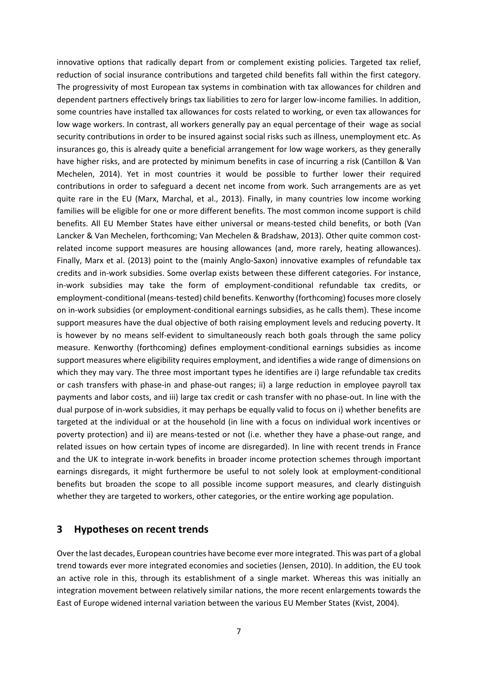innovative options that radically depart from or complement existing policies. Targeted tax relief, reduction of social insurance contributions and targeted child benefits fall within the first category. The progressivity of most European tax systems in combination with tax allowances for children and dependent partners effectively brings tax liabilities to zero for larger low‐income families. In addition, some countries have installed tax allowances for costs related to working, or even tax allowances for low wage workers. In contrast, all workers generally pay an equal percentage of their wage as social security contributions in order to be insured against social risks such as illness, unemployment etc. As insurances go, this is already quite a beneficial arrangement for low wage workers, as they generally have higher risks, and are protected by minimum benefits in case of incurring a risk (Cantillon & Van Mechelen, 2014). Yet in most countries it would be possible to further lower their required contributions in order to safeguard a decent net income from work. Such arrangements are as yet quite rare in the EU (Marx, Marchal, et al., 2013). Finally, in many countries low income working families will be eligible for one or more different benefits. The most common income support is child benefits. All EU Member States have either universal or means-tested child benefits, or both (Van Lancker & Van Mechelen, forthcoming; Van Mechelen & Bradshaw, 2013). Other quite common costrelated income support measures are housing allowances (and, more rarely, heating allowances). Finally, Marx et al. (2013) point to the (mainly Anglo‐Saxon) innovative examples of refundable tax credits and in‐work subsidies. Some overlap exists between these different categories. For instance, in-work subsidies may take the form of employment-conditional refundable tax credits, or employment-conditional (means-tested) child benefits. Kenworthy (forthcoming) focuses more closely on in‐work subsidies (or employment‐conditional earnings subsidies, as he calls them). These income support measures have the dual objective of both raising employment levels and reducing poverty. It is however by no means self-evident to simultaneously reach both goals through the same policy measure. Kenworthy (forthcoming) defines employment-conditional earnings subsidies as income support measures where eligibility requires employment, and identifies a wide range of dimensions on which they may vary. The three most important types he identifies are i) large refundable tax credits or cash transfers with phase‐in and phase‐out ranges; ii) a large reduction in employee payroll tax payments and labor costs, and iii) large tax credit or cash transfer with no phase-out. In line with the dual purpose of in‐work subsidies, it may perhaps be equally valid to focus on i) whether benefits are targeted at the individual or at the household (in line with a focus on individual work incentives or poverty protection) and ii) are means-tested or not (i.e. whether they have a phase-out range, and related issues on how certain types of income are disregarded). In line with recent trends in France and the UK to integrate in‐work benefits in broader income protection schemes through important earnings disregards, it might furthermore be useful to not solely look at employment-conditional benefits but broaden the scope to all possible income support measures, and clearly distinguish whether they are targeted to workers, other categories, or the entire working age population.

#### **3 Hypotheses on recent trends**

Over the last decades, European countries have become ever more integrated. This was part of a global trend towards ever more integrated economies and societies (Jensen, 2010). In addition, the EU took an active role in this, through its establishment of a single market. Whereas this was initially an integration movement between relatively similar nations, the more recent enlargements towards the East of Europe widened internal variation between the various EU Member States (Kvist, 2004).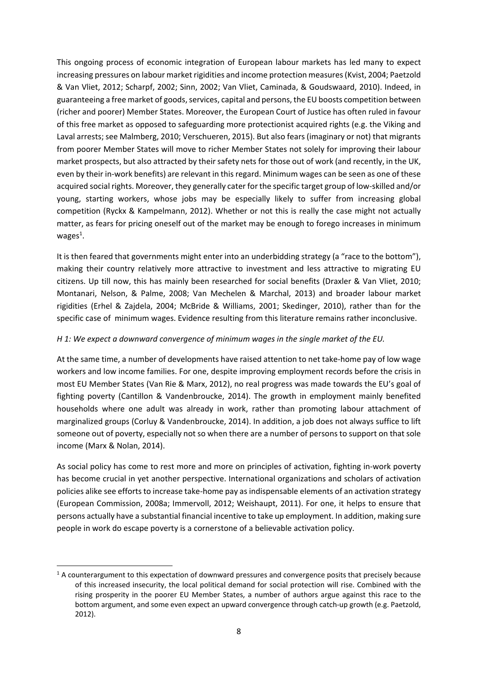This ongoing process of economic integration of European labour markets has led many to expect increasing pressures on labour market rigidities and income protection measures (Kvist, 2004; Paetzold & Van Vliet, 2012; Scharpf, 2002; Sinn, 2002; Van Vliet, Caminada, & Goudswaard, 2010). Indeed, in guaranteeing a free market of goods, services, capital and persons, the EU boosts competition between (richer and poorer) Member States. Moreover, the European Court of Justice has often ruled in favour of this free market as opposed to safeguarding more protectionist acquired rights (e.g. the Viking and Laval arrests; see Malmberg, 2010; Verschueren, 2015). But also fears (imaginary or not) that migrants from poorer Member States will move to richer Member States not solely for improving their labour market prospects, but also attracted by their safety nets for those out of work (and recently, in the UK, even by their in‐work benefits) are relevant in thisregard. Minimum wages can be seen as one of these acquired social rights. Moreover, they generally cater for the specific target group of low‐skilled and/or young, starting workers, whose jobs may be especially likely to suffer from increasing global competition (Ryckx & Kampelmann, 2012). Whether or not this is really the case might not actually matter, as fears for pricing oneself out of the market may be enough to forego increases in minimum wages $^1$ .

It is then feared that governments might enter into an underbidding strategy (a "race to the bottom"), making their country relatively more attractive to investment and less attractive to migrating EU citizens. Up till now, this has mainly been researched for social benefits (Draxler & Van Vliet, 2010; Montanari, Nelson, & Palme, 2008; Van Mechelen & Marchal, 2013) and broader labour market rigidities (Erhel & Zajdela, 2004; McBride & Williams, 2001; Skedinger, 2010), rather than for the specific case of minimum wages. Evidence resulting from this literature remains rather inconclusive.

#### *H 1: We expect a downward convergence of minimum wages in the single market of the EU.*

At the same time, a number of developments have raised attention to net take‐home pay of low wage workers and low income families. For one, despite improving employment records before the crisis in most EU Member States (Van Rie & Marx, 2012), no real progress was made towards the EU's goal of fighting poverty (Cantillon & Vandenbroucke, 2014). The growth in employment mainly benefited households where one adult was already in work, rather than promoting labour attachment of marginalized groups (Corluy & Vandenbroucke, 2014). In addition, a job does not always suffice to lift someone out of poverty, especially not so when there are a number of persons to support on that sole income (Marx & Nolan, 2014).

As social policy has come to rest more and more on principles of activation, fighting in‐work poverty has become crucial in yet another perspective. International organizations and scholars of activation policies alike see efforts to increase take-home pay as indispensable elements of an activation strategy (European Commission, 2008a; Immervoll, 2012; Weishaupt, 2011). For one, it helps to ensure that persons actually have a substantial financial incentive to take up employment. In addition, making sure people in work do escape poverty is a cornerstone of a believable activation policy.

  $1$  A counterargument to this expectation of downward pressures and convergence posits that precisely because of this increased insecurity, the local political demand for social protection will rise. Combined with the rising prosperity in the poorer EU Member States, a number of authors argue against this race to the bottom argument, and some even expect an upward convergence through catch‐up growth (e.g. Paetzold, 2012).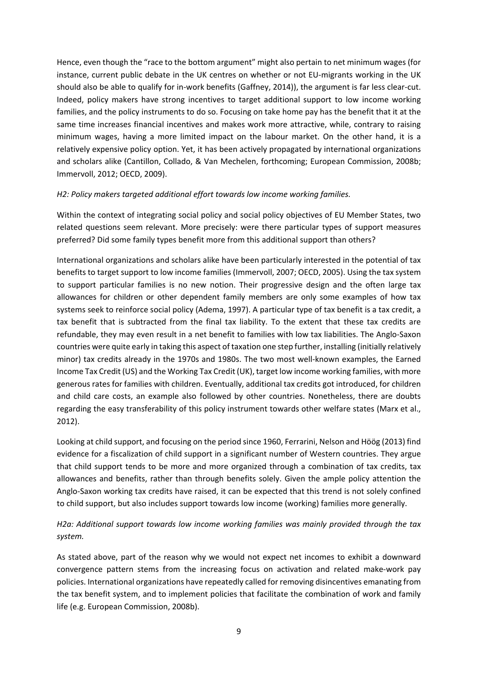Hence, even though the "race to the bottom argument" might also pertain to net minimum wages (for instance, current public debate in the UK centres on whether or not EU‐migrants working in the UK should also be able to qualify for in-work benefits (Gaffney, 2014)), the argument is far less clear-cut. Indeed, policy makers have strong incentives to target additional support to low income working families, and the policy instruments to do so. Focusing on take home pay has the benefit that it at the same time increases financial incentives and makes work more attractive, while, contrary to raising minimum wages, having a more limited impact on the labour market. On the other hand, it is a relatively expensive policy option. Yet, it has been actively propagated by international organizations and scholars alike (Cantillon, Collado, & Van Mechelen, forthcoming; European Commission, 2008b; Immervoll, 2012; OECD, 2009).

#### *H2: Policy makers targeted additional effort towards low income working families.*

Within the context of integrating social policy and social policy objectives of EU Member States, two related questions seem relevant. More precisely: were there particular types of support measures preferred? Did some family types benefit more from this additional support than others?

International organizations and scholars alike have been particularly interested in the potential of tax benefits to target support to low income families (Immervoll, 2007; OECD, 2005). Using the tax system to support particular families is no new notion. Their progressive design and the often large tax allowances for children or other dependent family members are only some examples of how tax systems seek to reinforce social policy (Adema, 1997). A particular type of tax benefit is a tax credit, a tax benefit that is subtracted from the final tax liability. To the extent that these tax credits are refundable, they may even result in a net benefit to families with low tax liabilities. The Anglo‐Saxon countries were quite early in taking this aspect of taxation one step further, installing (initially relatively minor) tax credits already in the 1970s and 1980s. The two most well-known examples, the Earned Income Tax Credit (US) and the Working Tax Credit (UK), target low income working families, with more generous rates for families with children. Eventually, additional tax credits got introduced, for children and child care costs, an example also followed by other countries. Nonetheless, there are doubts regarding the easy transferability of this policy instrument towards other welfare states (Marx et al., 2012).

Looking at child support, and focusing on the period since 1960, Ferrarini, Nelson and Höög (2013) find evidence for a fiscalization of child support in a significant number of Western countries. They argue that child support tends to be more and more organized through a combination of tax credits, tax allowances and benefits, rather than through benefits solely. Given the ample policy attention the Anglo‐Saxon working tax credits have raised, it can be expected that this trend is not solely confined to child support, but also includes support towards low income (working) families more generally.

# *H2a: Additional support towards low income working families was mainly provided through the tax system.*

As stated above, part of the reason why we would not expect net incomes to exhibit a downward convergence pattern stems from the increasing focus on activation and related make‐work pay policies. International organizations have repeatedly called for removing disincentives emanating from the tax benefit system, and to implement policies that facilitate the combination of work and family life (e.g. European Commission, 2008b).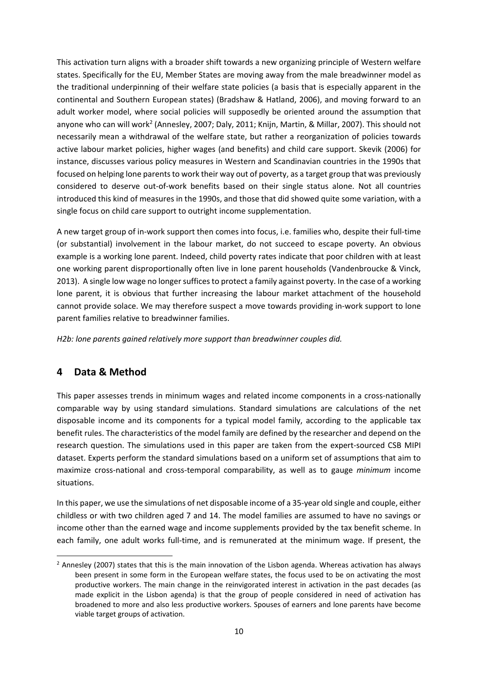This activation turn aligns with a broader shift towards a new organizing principle of Western welfare states. Specifically for the EU, Member States are moving away from the male breadwinner model as the traditional underpinning of their welfare state policies (a basis that is especially apparent in the continental and Southern European states) (Bradshaw & Hatland, 2006), and moving forward to an adult worker model, where social policies will supposedly be oriented around the assumption that anyone who can will work<sup>2</sup> (Annesley, 2007; Daly, 2011; Knijn, Martin, & Millar, 2007). This should not necessarily mean a withdrawal of the welfare state, but rather a reorganization of policies towards active labour market policies, higher wages (and benefits) and child care support. Skevik (2006) for instance, discusses various policy measures in Western and Scandinavian countries in the 1990s that focused on helping lone parents to work their way out of poverty, as a target group that was previously considered to deserve out‐of‐work benefits based on their single status alone. Not all countries introduced this kind of measures in the 1990s, and those that did showed quite some variation, with a single focus on child care support to outright income supplementation.

A new target group of in‐work support then comes into focus, i.e. families who, despite their full‐time (or substantial) involvement in the labour market, do not succeed to escape poverty. An obvious example is a working lone parent. Indeed, child poverty rates indicate that poor children with at least one working parent disproportionally often live in lone parent households (Vandenbroucke & Vinck, 2013). A single low wage no longer suffices to protect a family against poverty. In the case of a working lone parent, it is obvious that further increasing the labour market attachment of the household cannot provide solace. We may therefore suspect a move towards providing in‐work support to lone parent families relative to breadwinner families.

*H2b: lone parents gained relatively more support than breadwinner couples did.*

# **4 Data & Method**

This paper assesses trends in minimum wages and related income components in a cross-nationally comparable way by using standard simulations. Standard simulations are calculations of the net disposable income and its components for a typical model family, according to the applicable tax benefit rules. The characteristics of the model family are defined by the researcher and depend on the research question. The simulations used in this paper are taken from the expert‐sourced CSB MIPI dataset. Experts perform the standard simulations based on a uniform set of assumptions that aim to maximize cross‐national and cross‐temporal comparability, as well as to gauge *minimum* income situations.

In this paper, we use the simulations of net disposable income of a 35‐year old single and couple, either childless or with two children aged 7 and 14. The model families are assumed to have no savings or income other than the earned wage and income supplements provided by the tax benefit scheme. In each family, one adult works full-time, and is remunerated at the minimum wage. If present, the

<sup>&</sup>lt;sup>2</sup> Anneslev (2007) states that this is the main innovation of the Lisbon agenda. Whereas activation has always been present in some form in the European welfare states, the focus used to be on activating the most productive workers. The main change in the reinvigorated interest in activation in the past decades (as made explicit in the Lisbon agenda) is that the group of people considered in need of activation has broadened to more and also less productive workers. Spouses of earners and lone parents have become viable target groups of activation.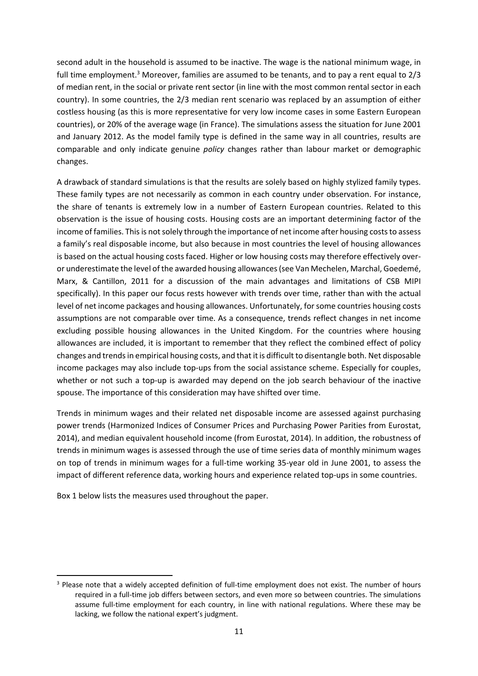second adult in the household is assumed to be inactive. The wage is the national minimum wage, in full time employment.<sup>3</sup> Moreover, families are assumed to be tenants, and to pay a rent equal to  $2/3$ of median rent, in the social or private rent sector (in line with the most common rental sector in each country). In some countries, the 2/3 median rent scenario was replaced by an assumption of either costless housing (as this is more representative for very low income cases in some Eastern European countries), or 20% of the average wage (in France). The simulations assess the situation for June 2001 and January 2012. As the model family type is defined in the same way in all countries, results are comparable and only indicate genuine *policy* changes rather than labour market or demographic changes.

A drawback of standard simulations is that the results are solely based on highly stylized family types. These family types are not necessarily as common in each country under observation. For instance, the share of tenants is extremely low in a number of Eastern European countries. Related to this observation is the issue of housing costs. Housing costs are an important determining factor of the income of families. This is not solely through the importance of net income after housing costs to assess a family's real disposable income, but also because in most countries the level of housing allowances is based on the actual housing costs faced. Higher or low housing costs may therefore effectively over‐ or underestimate the level of the awarded housing allowances(see Van Mechelen, Marchal, Goedemé, Marx, & Cantillon, 2011 for a discussion of the main advantages and limitations of CSB MIPI specifically). In this paper our focus rests however with trends over time, rather than with the actual level of net income packages and housing allowances. Unfortunately, for some countries housing costs assumptions are not comparable over time. As a consequence, trends reflect changes in net income excluding possible housing allowances in the United Kingdom. For the countries where housing allowances are included, it is important to remember that they reflect the combined effect of policy changes and trendsin empirical housing costs, and that it is difficult to disentangle both. Net disposable income packages may also include top-ups from the social assistance scheme. Especially for couples, whether or not such a top-up is awarded may depend on the job search behaviour of the inactive spouse. The importance of this consideration may have shifted over time.

Trends in minimum wages and their related net disposable income are assessed against purchasing power trends (Harmonized Indices of Consumer Prices and Purchasing Power Parities from Eurostat, 2014), and median equivalent household income (from Eurostat, 2014). In addition, the robustness of trends in minimum wages is assessed through the use of time series data of monthly minimum wages on top of trends in minimum wages for a full-time working 35-year old in June 2001, to assess the impact of different reference data, working hours and experience related top‐ups in some countries.

Box 1 below lists the measures used throughout the paper.

<sup>&</sup>lt;sup>3</sup> Please note that a widely accepted definition of full-time employment does not exist. The number of hours required in a full‐time job differs between sectors, and even more so between countries. The simulations assume full‐time employment for each country, in line with national regulations. Where these may be lacking, we follow the national expert's judgment.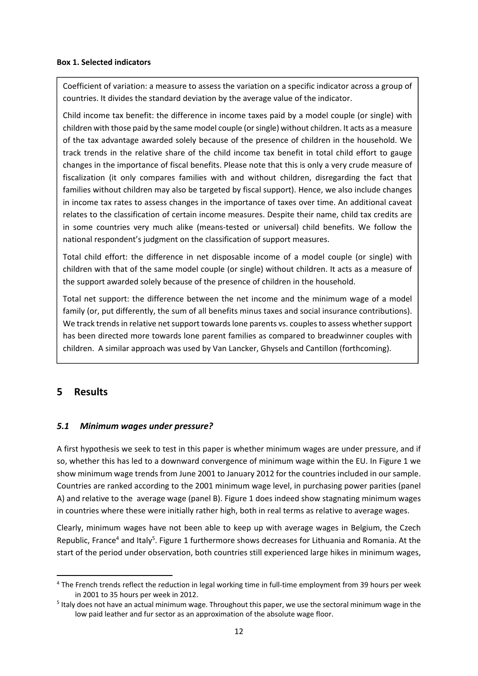#### **Box 1. Selected indicators**

Coefficient of variation: a measure to assess the variation on a specific indicator across a group of countries. It divides the standard deviation by the average value of the indicator.

Child income tax benefit: the difference in income taxes paid by a model couple (or single) with children with those paid by the same model couple (orsingle) without children. It acts as a measure of the tax advantage awarded solely because of the presence of children in the household. We track trends in the relative share of the child income tax benefit in total child effort to gauge changes in the importance of fiscal benefits. Please note that this is only a very crude measure of fiscalization (it only compares families with and without children, disregarding the fact that families without children may also be targeted by fiscal support). Hence, we also include changes in income tax rates to assess changes in the importance of taxes over time. An additional caveat relates to the classification of certain income measures. Despite their name, child tax credits are in some countries very much alike (means-tested or universal) child benefits. We follow the national respondent's judgment on the classification of support measures.

Total child effort: the difference in net disposable income of a model couple (or single) with children with that of the same model couple (or single) without children. It acts as a measure of the support awarded solely because of the presence of children in the household.

Total net support: the difference between the net income and the minimum wage of a model family (or, put differently, the sum of all benefits minus taxes and social insurance contributions). We track trends in relative net support towards lone parents vs. couples to assess whether support has been directed more towards lone parent families as compared to breadwinner couples with children. A similar approach was used by Van Lancker, Ghysels and Cantillon (forthcoming).

## **5 Results**

#### *5.1 Minimum wages under pressure?*

A first hypothesis we seek to test in this paper is whether minimum wages are under pressure, and if so, whether this has led to a downward convergence of minimum wage within the EU. In Figure 1 we show minimum wage trends from June 2001 to January 2012 for the countries included in our sample. Countries are ranked according to the 2001 minimum wage level, in purchasing power parities (panel A) and relative to the average wage (panel B). Figure 1 does indeed show stagnating minimum wages in countries where these were initially rather high, both in real terms as relative to average wages.

Clearly, minimum wages have not been able to keep up with average wages in Belgium, the Czech Republic, France<sup>4</sup> and Italy<sup>5</sup>. Figure 1 furthermore shows decreases for Lithuania and Romania. At the start of the period under observation, both countries still experienced large hikes in minimum wages,

<sup>&</sup>lt;sup>4</sup> The French trends reflect the reduction in legal working time in full-time employment from 39 hours per week in 2001 to 35 hours per week in 2012.

<sup>5</sup> Italy does not have an actual minimum wage. Throughout this paper, we use the sectoral minimum wage in the low paid leather and fur sector as an approximation of the absolute wage floor.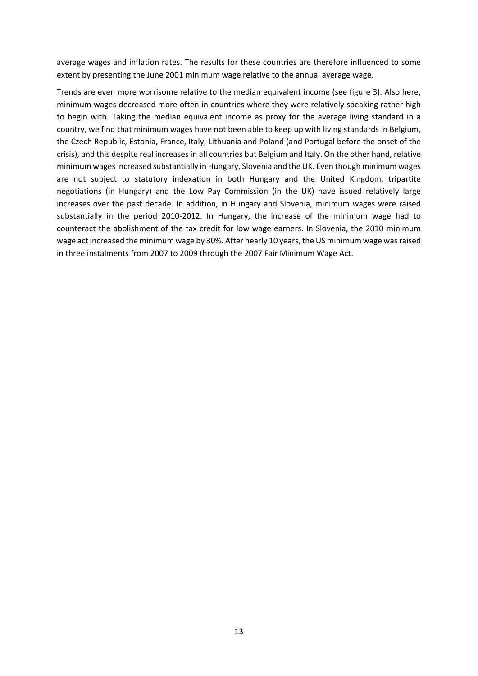average wages and inflation rates. The results for these countries are therefore influenced to some extent by presenting the June 2001 minimum wage relative to the annual average wage.

Trends are even more worrisome relative to the median equivalent income (see figure 3). Also here, minimum wages decreased more often in countries where they were relatively speaking rather high to begin with. Taking the median equivalent income as proxy for the average living standard in a country, we find that minimum wages have not been able to keep up with living standards in Belgium, the Czech Republic, Estonia, France, Italy, Lithuania and Poland (and Portugal before the onset of the crisis), and this despite real increases in all countries but Belgium and Italy. On the other hand, relative minimum wagesincreased substantially in Hungary, Slovenia and the UK. Even though minimum wages are not subject to statutory indexation in both Hungary and the United Kingdom, tripartite negotiations (in Hungary) and the Low Pay Commission (in the UK) have issued relatively large increases over the past decade. In addition, in Hungary and Slovenia, minimum wages were raised substantially in the period 2010‐2012. In Hungary, the increase of the minimum wage had to counteract the abolishment of the tax credit for low wage earners. In Slovenia, the 2010 minimum wage actincreased the minimum wage by 30%. After nearly 10 years, the US minimum wage wasraised in three instalments from 2007 to 2009 through the 2007 Fair Minimum Wage Act.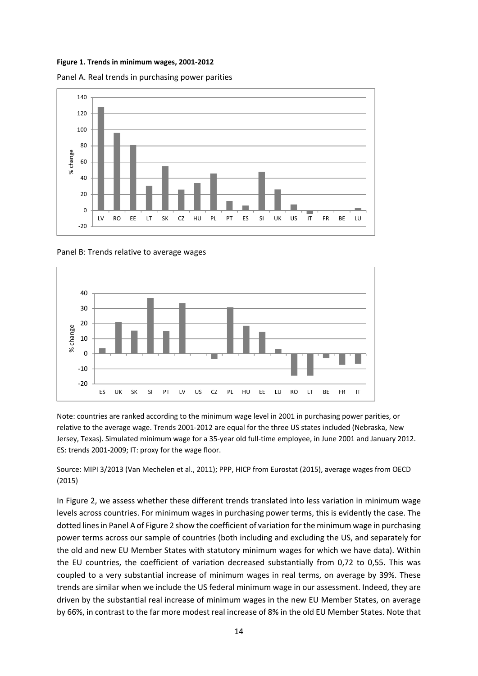**Figure 1. Trends in minimum wages, 2001‐2012**





Panel B: Trends relative to average wages



Note: countries are ranked according to the minimum wage level in 2001 in purchasing power parities, or relative to the average wage. Trends 2001‐2012 are equal for the three US states included (Nebraska, New Jersey, Texas). Simulated minimum wage for a 35‐year old full‐time employee, in June 2001 and January 2012. ES: trends 2001‐2009; IT: proxy for the wage floor.

Source: MIPI 3/2013 (Van Mechelen et al., 2011); PPP, HICP from Eurostat (2015), average wages from OECD (2015)

In Figure 2, we assess whether these different trends translated into less variation in minimum wage levels across countries. For minimum wages in purchasing power terms, this is evidently the case. The dotted lines in Panel A of Figure 2 show the coefficient of variation for the minimum wage in purchasing power terms across our sample of countries (both including and excluding the US, and separately for the old and new EU Member States with statutory minimum wages for which we have data). Within the EU countries, the coefficient of variation decreased substantially from 0,72 to 0,55. This was coupled to a very substantial increase of minimum wages in real terms, on average by 39%. These trends are similar when we include the US federal minimum wage in our assessment. Indeed, they are driven by the substantial real increase of minimum wages in the new EU Member States, on average by 66%, in contrast to the far more modest real increase of 8% in the old EU Member States. Note that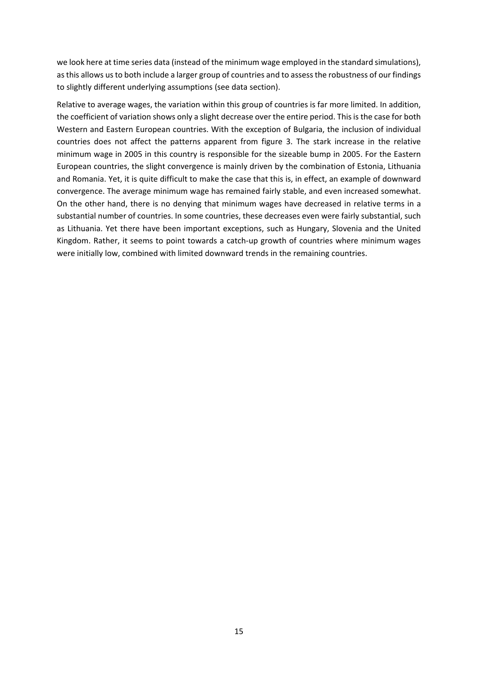we look here at time series data (instead of the minimum wage employed in the standard simulations), as this allows us to both include a larger group of countries and to assess the robustness of our findings to slightly different underlying assumptions (see data section).

Relative to average wages, the variation within this group of countries is far more limited. In addition, the coefficient of variation shows only a slight decrease over the entire period. Thisis the case for both Western and Eastern European countries. With the exception of Bulgaria, the inclusion of individual countries does not affect the patterns apparent from figure 3. The stark increase in the relative minimum wage in 2005 in this country is responsible for the sizeable bump in 2005. For the Eastern European countries, the slight convergence is mainly driven by the combination of Estonia, Lithuania and Romania. Yet, it is quite difficult to make the case that this is, in effect, an example of downward convergence. The average minimum wage has remained fairly stable, and even increased somewhat. On the other hand, there is no denying that minimum wages have decreased in relative terms in a substantial number of countries. In some countries, these decreases even were fairly substantial, such as Lithuania. Yet there have been important exceptions, such as Hungary, Slovenia and the United Kingdom. Rather, it seems to point towards a catch‐up growth of countries where minimum wages were initially low, combined with limited downward trends in the remaining countries.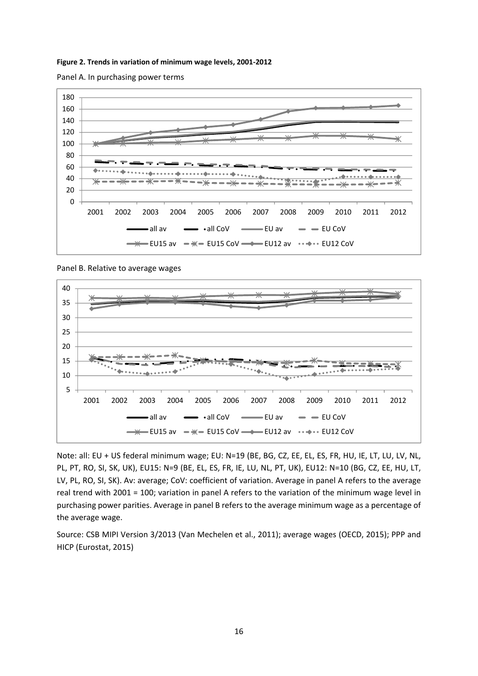#### **Figure 2. Trends in variation of minimum wage levels, 2001‐2012**





Panel B. Relative to average wages



Note: all: EU + US federal minimum wage; EU: N=19 (BE, BG, CZ, EE, EL, ES, FR, HU, IE, LT, LU, LV, NL, PL, PT, RO, SI, SK, UK), EU15: N=9 (BE, EL, ES, FR, IE, LU, NL, PT, UK), EU12: N=10 (BG, CZ, EE, HU, LT, LV, PL, RO, SI, SK). Av: average; CoV: coefficient of variation. Average in panel A refers to the average real trend with 2001 = 100; variation in panel A refers to the variation of the minimum wage level in purchasing power parities. Average in panel B refers to the average minimum wage as a percentage of the average wage.

Source: CSB MIPI Version 3/2013 (Van Mechelen et al., 2011); average wages (OECD, 2015); PPP and HICP (Eurostat, 2015)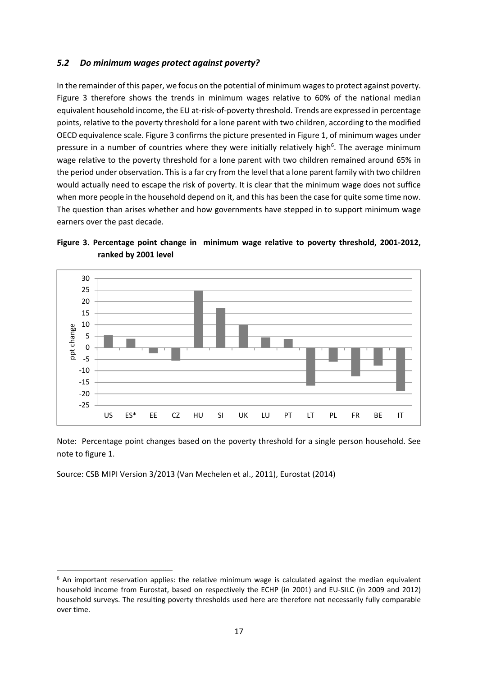#### *5.2 Do minimum wages protect against poverty?*

In the remainder of this paper, we focus on the potential of minimum wagesto protect against poverty. Figure 3 therefore shows the trends in minimum wages relative to 60% of the national median equivalent household income, the EU at-risk-of-poverty threshold. Trends are expressed in percentage points, relative to the poverty threshold for a lone parent with two children, according to the modified OECD equivalence scale. Figure 3 confirms the picture presented in Figure 1, of minimum wages under pressure in a number of countries where they were initially relatively high<sup>6</sup>. The average minimum wage relative to the poverty threshold for a lone parent with two children remained around 65% in the period under observation. Thisis a far cry from the level that a lone parent family with two children would actually need to escape the risk of poverty. It is clear that the minimum wage does not suffice when more people in the household depend on it, and this has been the case for quite some time now. The question than arises whether and how governments have stepped in to support minimum wage earners over the past decade.





Note: Percentage point changes based on the poverty threshold for a single person household. See note to figure 1.

Source: CSB MIPI Version 3/2013 (Van Mechelen et al., 2011), Eurostat (2014)

 $6$  An important reservation applies: the relative minimum wage is calculated against the median equivalent household income from Eurostat, based on respectively the ECHP (in 2001) and EU‐SILC (in 2009 and 2012) household surveys. The resulting poverty thresholds used here are therefore not necessarily fully comparable over time.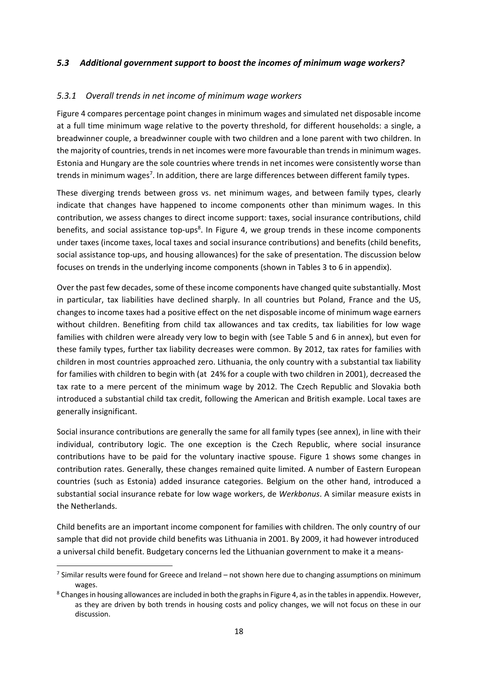#### *5.3 Additional government support to boost the incomes of minimum wage workers?*

#### *5.3.1 Overall trends in net income of minimum wage workers*

Figure 4 compares percentage point changes in minimum wages and simulated net disposable income at a full time minimum wage relative to the poverty threshold, for different households: a single, a breadwinner couple, a breadwinner couple with two children and a lone parent with two children. In the majority of countries, trends in net incomes were more favourable than trends in minimum wages. Estonia and Hungary are the sole countries where trends in net incomes were consistently worse than trends in minimum wages<sup>7</sup>. In addition, there are large differences between different family types.

These diverging trends between gross vs. net minimum wages, and between family types, clearly indicate that changes have happened to income components other than minimum wages. In this contribution, we assess changes to direct income support: taxes, social insurance contributions, child benefits, and social assistance top-ups<sup>8</sup>. In Figure 4, we group trends in these income components under taxes (income taxes, local taxes and social insurance contributions) and benefits (child benefits, social assistance top-ups, and housing allowances) for the sake of presentation. The discussion below focuses on trends in the underlying income components (shown in Tables 3 to 6 in appendix).

Over the past few decades, some of these income components have changed quite substantially. Most in particular, tax liabilities have declined sharply. In all countries but Poland, France and the US, changes to income taxes had a positive effect on the net disposable income of minimum wage earners without children. Benefiting from child tax allowances and tax credits, tax liabilities for low wage families with children were already very low to begin with (see Table 5 and 6 in annex), but even for these family types, further tax liability decreases were common. By 2012, tax rates for families with children in most countries approached zero. Lithuania, the only country with a substantial tax liability for families with children to begin with (at 24% for a couple with two children in 2001), decreased the tax rate to a mere percent of the minimum wage by 2012. The Czech Republic and Slovakia both introduced a substantial child tax credit, following the American and British example. Local taxes are generally insignificant.

Social insurance contributions are generally the same for all family types (see annex), in line with their individual, contributory logic. The one exception is the Czech Republic, where social insurance contributions have to be paid for the voluntary inactive spouse. Figure 1 shows some changes in contribution rates. Generally, these changes remained quite limited. A number of Eastern European countries (such as Estonia) added insurance categories. Belgium on the other hand, introduced a substantial social insurance rebate for low wage workers, de *Werkbonus*. A similar measure exists in the Netherlands.

Child benefits are an important income component for families with children. The only country of our sample that did not provide child benefits was Lithuania in 2001. By 2009, it had however introduced a universal child benefit. Budgetary concerns led the Lithuanian government to make it a means‐

 $7$  Similar results were found for Greece and Ireland – not shown here due to changing assumptions on minimum wages.

<sup>&</sup>lt;sup>8</sup> Changes in housing allowances are included in both the graphs in Figure 4, as in the tables in appendix. However, as they are driven by both trends in housing costs and policy changes, we will not focus on these in our discussion.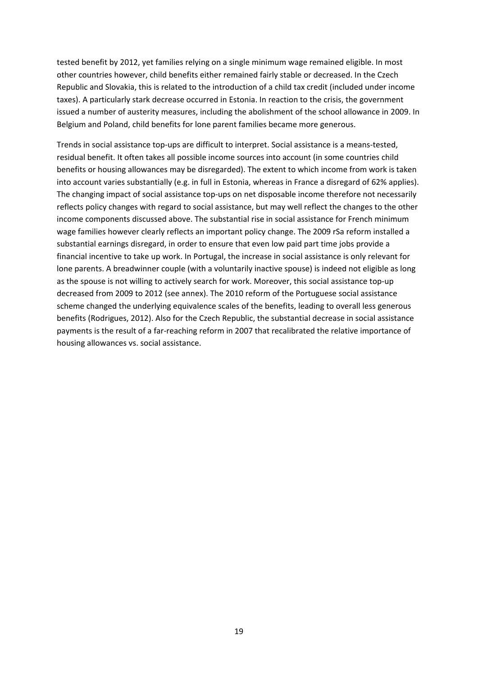tested benefit by 2012, yet families relying on a single minimum wage remained eligible. In most other countries however, child benefits either remained fairly stable or decreased. In the Czech Republic and Slovakia, this is related to the introduction of a child tax credit (included under income taxes). A particularly stark decrease occurred in Estonia. In reaction to the crisis, the government issued a number of austerity measures, including the abolishment of the school allowance in 2009. In Belgium and Poland, child benefits for lone parent families became more generous.

Trends in social assistance top-ups are difficult to interpret. Social assistance is a means-tested, residual benefit. It often takes all possible income sources into account (in some countries child benefits or housing allowances may be disregarded). The extent to which income from work is taken into account varies substantially (e.g. in full in Estonia, whereas in France a disregard of 62% applies). The changing impact of social assistance top-ups on net disposable income therefore not necessarily reflects policy changes with regard to social assistance, but may well reflect the changes to the other income components discussed above. The substantial rise in social assistance for French minimum wage families however clearly reflects an important policy change. The 2009 rSa reform installed a substantial earnings disregard, in order to ensure that even low paid part time jobs provide a financial incentive to take up work. In Portugal, the increase in social assistance is only relevant for lone parents. A breadwinner couple (with a voluntarily inactive spouse) is indeed not eligible as long as the spouse is not willing to actively search for work. Moreover, this social assistance top‐up decreased from 2009 to 2012 (see annex). The 2010 reform of the Portuguese social assistance scheme changed the underlying equivalence scales of the benefits, leading to overall less generous benefits (Rodrigues, 2012). Also for the Czech Republic, the substantial decrease in social assistance payments is the result of a far-reaching reform in 2007 that recalibrated the relative importance of housing allowances vs. social assistance.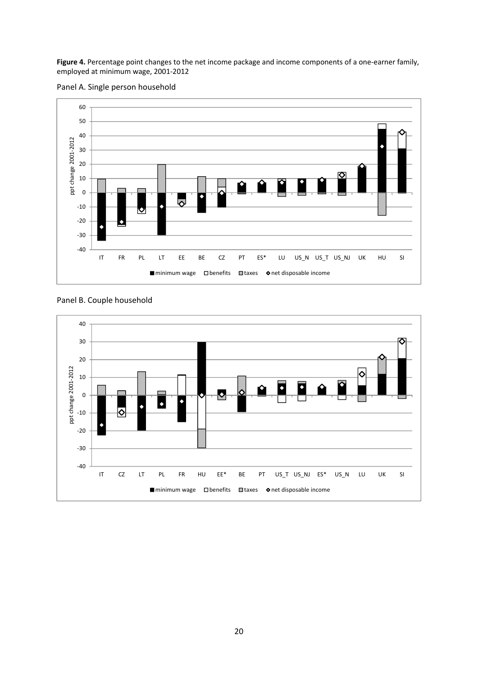**Figure 4.** Percentage point changes to the net income package and income components of a one‐earner family, employed at minimum wage, 2001‐2012







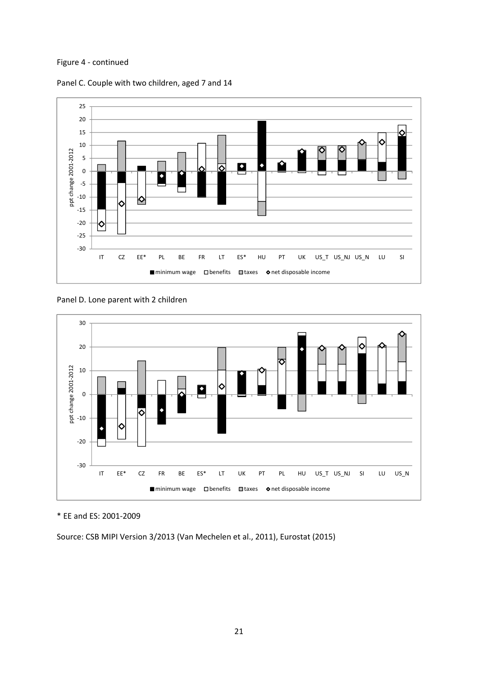#### Figure 4 ‐ continued





#### Panel D. Lone parent with 2 children



#### \* EE and ES: 2001‐2009

Source: CSB MIPI Version 3/2013 (Van Mechelen et al., 2011), Eurostat (2015)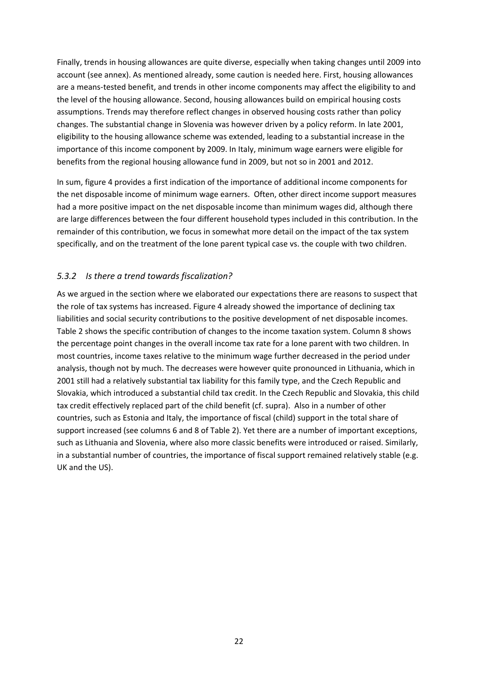Finally, trends in housing allowances are quite diverse, especially when taking changes until 2009 into account (see annex). As mentioned already, some caution is needed here. First, housing allowances are a means-tested benefit, and trends in other income components may affect the eligibility to and the level of the housing allowance. Second, housing allowances build on empirical housing costs assumptions. Trends may therefore reflect changes in observed housing costs rather than policy changes. The substantial change in Slovenia was however driven by a policy reform. In late 2001, eligibility to the housing allowance scheme was extended, leading to a substantial increase in the importance of this income component by 2009. In Italy, minimum wage earners were eligible for benefits from the regional housing allowance fund in 2009, but not so in 2001 and 2012.

In sum, figure 4 provides a first indication of the importance of additional income components for the net disposable income of minimum wage earners. Often, other direct income support measures had a more positive impact on the net disposable income than minimum wages did, although there are large differences between the four different household types included in this contribution. In the remainder of this contribution, we focus in somewhat more detail on the impact of the tax system specifically, and on the treatment of the lone parent typical case vs. the couple with two children.

## *5.3.2 Is there a trend towards fiscalization?*

As we argued in the section where we elaborated our expectations there are reasons to suspect that the role of tax systems has increased. Figure 4 already showed the importance of declining tax liabilities and social security contributions to the positive development of net disposable incomes. Table 2 shows the specific contribution of changes to the income taxation system. Column 8 shows the percentage point changes in the overall income tax rate for a lone parent with two children. In most countries, income taxes relative to the minimum wage further decreased in the period under analysis, though not by much. The decreases were however quite pronounced in Lithuania, which in 2001 still had a relatively substantial tax liability for this family type, and the Czech Republic and Slovakia, which introduced a substantial child tax credit. In the Czech Republic and Slovakia, this child tax credit effectively replaced part of the child benefit (cf. supra). Also in a number of other countries, such as Estonia and Italy, the importance of fiscal (child) support in the total share of support increased (see columns 6 and 8 of Table 2). Yet there are a number of important exceptions, such as Lithuania and Slovenia, where also more classic benefits were introduced or raised. Similarly, in a substantial number of countries, the importance of fiscal support remained relatively stable (e.g. UK and the US).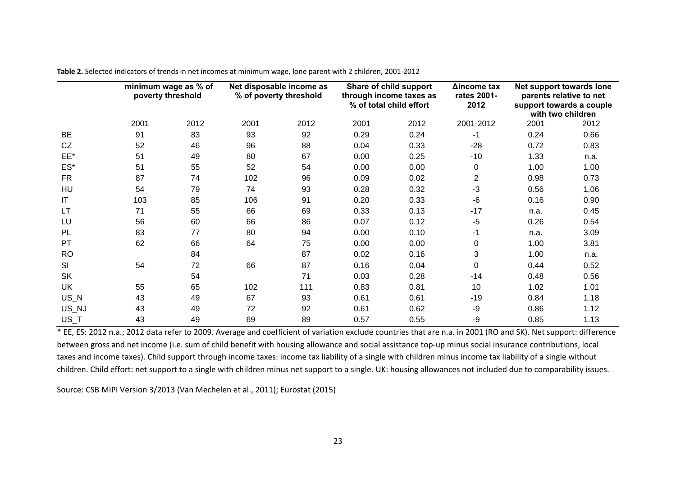|           | minimum wage as % of<br>poverty threshold |      |      | Net disposable income as<br>% of poverty threshold |      | Share of child support<br>through income taxes as<br>% of total child effort | Δincome tax<br>rates 2001-<br>2012 | Net support towards lone<br>parents relative to net<br>support towards a couple<br>with two children |      |  |
|-----------|-------------------------------------------|------|------|----------------------------------------------------|------|------------------------------------------------------------------------------|------------------------------------|------------------------------------------------------------------------------------------------------|------|--|
|           | 2001                                      | 2012 | 2001 | 2012                                               | 2001 | 2012                                                                         | 2001-2012                          | 2001                                                                                                 | 2012 |  |
| <b>BE</b> | 91                                        | 83   | 93   | 92                                                 | 0.29 | 0.24                                                                         | $-1$                               | 0.24                                                                                                 | 0.66 |  |
| CZ        | 52                                        | 46   | 96   | 88                                                 | 0.04 | 0.33                                                                         | $-28$                              | 0.72                                                                                                 | 0.83 |  |
| EE*       | 51                                        | 49   | 80   | 67                                                 | 0.00 | 0.25                                                                         | $-10$                              | 1.33                                                                                                 | n.a. |  |
| $ES^*$    | 51                                        | 55   | 52   | 54                                                 | 0.00 | 0.00                                                                         | 0                                  | 1.00                                                                                                 | 1.00 |  |
| <b>FR</b> | 87                                        | 74   | 102  | 96                                                 | 0.09 | 0.02                                                                         | $\overline{2}$                     | 0.98                                                                                                 | 0.73 |  |
| HU        | 54                                        | 79   | 74   | 93                                                 | 0.28 | 0.32                                                                         | $-3$                               | 0.56                                                                                                 | 1.06 |  |
| IT        | 103                                       | 85   | 106  | 91                                                 | 0.20 | 0.33                                                                         | $-6$                               | 0.16                                                                                                 | 0.90 |  |
| <b>LT</b> | 71                                        | 55   | 66   | 69                                                 | 0.33 | 0.13                                                                         | $-17$                              | n.a.                                                                                                 | 0.45 |  |
| LU        | 56                                        | 60   | 66   | 86                                                 | 0.07 | 0.12                                                                         | $-5$                               | 0.26                                                                                                 | 0.54 |  |
| PL        | 83                                        | 77   | 80   | 94                                                 | 0.00 | 0.10                                                                         | $-1$                               | n.a.                                                                                                 | 3.09 |  |
| PT        | 62                                        | 66   | 64   | 75                                                 | 0.00 | 0.00                                                                         | $\mathbf 0$                        | 1.00                                                                                                 | 3.81 |  |
| <b>RO</b> |                                           | 84   |      | 87                                                 | 0.02 | 0.16                                                                         | 3                                  | 1.00                                                                                                 | n.a. |  |
| SI        | 54                                        | 72   | 66   | 87                                                 | 0.16 | 0.04                                                                         | 0                                  | 0.44                                                                                                 | 0.52 |  |
| <b>SK</b> |                                           | 54   |      | 71                                                 | 0.03 | 0.28                                                                         | $-14$                              | 0.48                                                                                                 | 0.56 |  |
| <b>UK</b> | 55                                        | 65   | 102  | 111                                                | 0.83 | 0.81                                                                         | 10                                 | 1.02                                                                                                 | 1.01 |  |
| US_N      | 43                                        | 49   | 67   | 93                                                 | 0.61 | 0.61                                                                         | $-19$                              | 0.84                                                                                                 | 1.18 |  |
| US_NJ     | 43                                        | 49   | 72   | 92                                                 | 0.61 | 0.62                                                                         | -9                                 | 0.86                                                                                                 | 1.12 |  |
| US_T      | 43                                        | 49   | 69   | 89                                                 | 0.57 | 0.55                                                                         | -9                                 | 0.85                                                                                                 | 1.13 |  |

**Table 2.** Selected indicators of trends in net incomes at minimum wage, lone parent with 2 children, 2001‐2012

\* EE, ES: 2012 n.a.; 2012 data refer to 2009. Average and coefficient of variation exclude countries that are n.a. in 2001 (RO and SK). Net support: difference between gross and net income (i.e. sum of child benefit with housing allowance and social assistance top-up minus social insurance contributions, local taxes and income taxes). Child support through income taxes: income tax liability of <sup>a</sup> single with children minus income tax liability of <sup>a</sup> single without children. Child effort: net support to <sup>a</sup> single with children minus net support to <sup>a</sup> single. UK: housing allowances not included due to comparability issues.

Source: CSB MIPI Version 3/2013 (Van Mechelen et al., 2011); Eurostat (2015)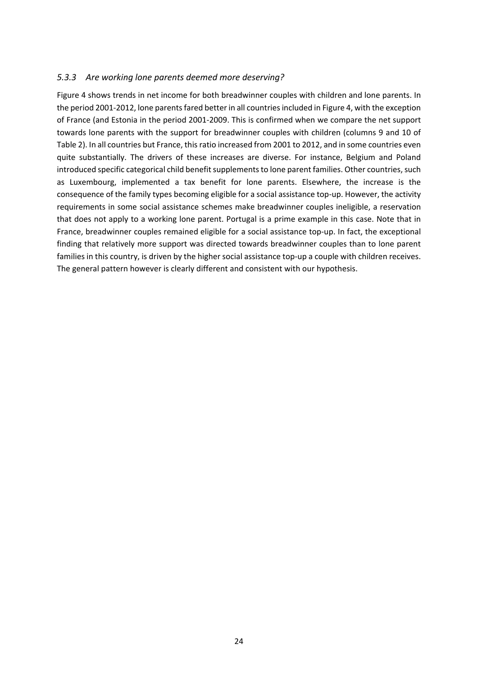#### *5.3.3 Are working lone parents deemed more deserving?*

Figure 4 shows trends in net income for both breadwinner couples with children and lone parents. In the period 2001‐2012, lone parentsfared better in all countriesincluded in Figure 4, with the exception of France (and Estonia in the period 2001‐2009. This is confirmed when we compare the net support towards lone parents with the support for breadwinner couples with children (columns 9 and 10 of Table 2). In all countries but France, this ratio increased from 2001 to 2012, and in some countries even quite substantially. The drivers of these increases are diverse. For instance, Belgium and Poland introduced specific categorical child benefit supplements to lone parent families. Other countries, such as Luxembourg, implemented a tax benefit for lone parents. Elsewhere, the increase is the consequence of the family types becoming eligible for a social assistance top‐up. However, the activity requirements in some social assistance schemes make breadwinner couples ineligible, a reservation that does not apply to a working lone parent. Portugal is a prime example in this case. Note that in France, breadwinner couples remained eligible for a social assistance top‐up. In fact, the exceptional finding that relatively more support was directed towards breadwinner couples than to lone parent families in this country, is driven by the higher social assistance top-up a couple with children receives. The general pattern however is clearly different and consistent with our hypothesis.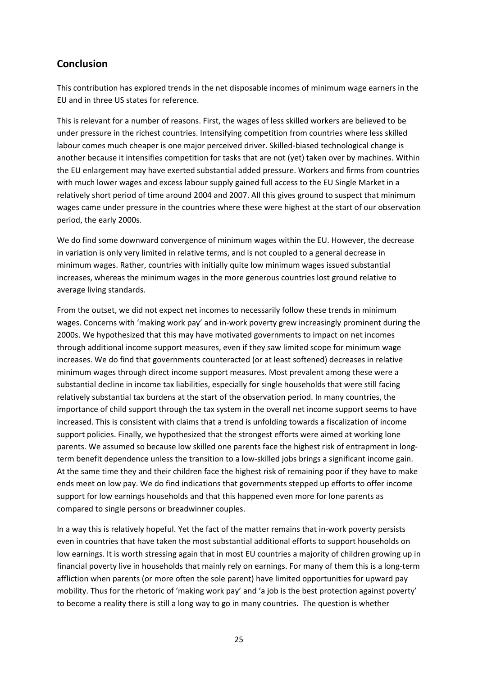# **Conclusion**

This contribution has explored trends in the net disposable incomes of minimum wage earners in the EU and in three US states for reference.

This is relevant for a number of reasons. First, the wages of less skilled workers are believed to be under pressure in the richest countries. Intensifying competition from countries where less skilled labour comes much cheaper is one major perceived driver. Skilled‐biased technological change is another because it intensifies competition for tasks that are not (yet) taken over by machines. Within the EU enlargement may have exerted substantial added pressure. Workers and firms from countries with much lower wages and excess labour supply gained full access to the EU Single Market in a relatively short period of time around 2004 and 2007. All this gives ground to suspect that minimum wages came under pressure in the countries where these were highest at the start of our observation period, the early 2000s.

We do find some downward convergence of minimum wages within the EU. However, the decrease in variation is only very limited in relative terms, and is not coupled to a general decrease in minimum wages. Rather, countries with initially quite low minimum wages issued substantial increases, whereas the minimum wages in the more generous countries lost ground relative to average living standards.

From the outset, we did not expect net incomes to necessarily follow these trends in minimum wages. Concerns with 'making work pay' and in-work poverty grew increasingly prominent during the 2000s. We hypothesized that this may have motivated governments to impact on net incomes through additional income support measures, even if they saw limited scope for minimum wage increases. We do find that governments counteracted (or at least softened) decreases in relative minimum wages through direct income support measures. Most prevalent among these were a substantial decline in income tax liabilities, especially for single households that were still facing relatively substantial tax burdens at the start of the observation period. In many countries, the importance of child support through the tax system in the overall net income support seems to have increased. This is consistent with claims that a trend is unfolding towards a fiscalization of income support policies. Finally, we hypothesized that the strongest efforts were aimed at working lone parents. We assumed so because low skilled one parents face the highest risk of entrapment in longterm benefit dependence unless the transition to a low‐skilled jobs brings a significant income gain. At the same time they and their children face the highest risk of remaining poor if they have to make ends meet on low pay. We do find indications that governments stepped up efforts to offer income support for low earnings households and that this happened even more for lone parents as compared to single persons or breadwinner couples.

In a way this is relatively hopeful. Yet the fact of the matter remains that in‐work poverty persists even in countries that have taken the most substantial additional efforts to support households on low earnings. It is worth stressing again that in most EU countries a majority of children growing up in financial poverty live in households that mainly rely on earnings. For many of them this is a long-term affliction when parents (or more often the sole parent) have limited opportunities for upward pay mobility. Thus for the rhetoric of 'making work pay' and 'a job is the best protection against poverty' to become a reality there is still a long way to go in many countries. The question is whether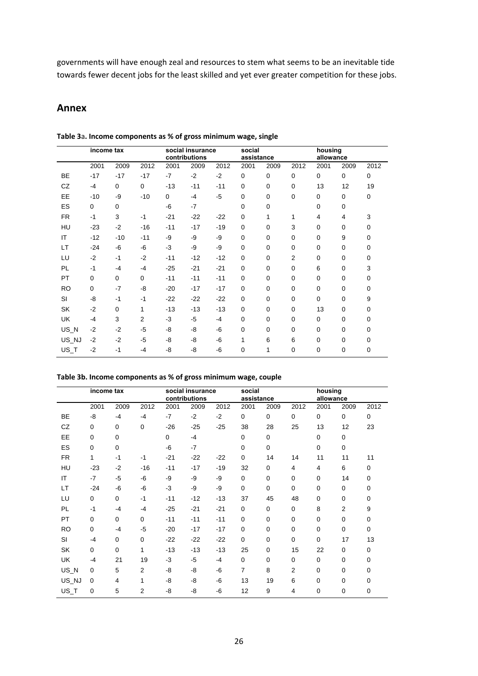governments will have enough zeal and resources to stem what seems to be an inevitable tide towards fewer decent jobs for the least skilled and yet ever greater competition for these jobs.

# **Annex**

|           | income tax  |             |                |             | social insurance<br>contributions |       | social<br>assistance |             |                | housing<br>allowance |             |             |
|-----------|-------------|-------------|----------------|-------------|-----------------------------------|-------|----------------------|-------------|----------------|----------------------|-------------|-------------|
|           | 2001        | 2009        | 2012           | 2001        | 2009                              | 2012  | 2001                 | 2009        | 2012           | 2001                 | 2009        | 2012        |
| BE        | $-17$       | $-17$       | $-17$          | $-7$        | $-2$                              | $-2$  | 0                    | 0           | 0              | $\Omega$             | $\Omega$    | $\mathbf 0$ |
| CZ        | $-4$        | $\Omega$    | $\mathbf 0$    | $-13$       | $-11$                             | $-11$ | 0                    | $\mathbf 0$ | $\mathbf 0$    | 13                   | 12          | 19          |
| EE        | $-10$       | -9          | $-10$          | $\mathbf 0$ | $-4$                              | $-5$  | 0                    | 0           | $\mathbf 0$    | $\mathbf 0$          | 0           | $\mathbf 0$ |
| ES        | 0           | $\mathbf 0$ |                | -6          | $-7$                              |       | 0                    | $\mathbf 0$ |                | $\mathbf 0$          | $\mathbf 0$ |             |
| <b>FR</b> | $-1$        | 3           | $-1$           | $-21$       | $-22$                             | $-22$ | 0                    | 1           | 1              | 4                    | 4           | 3           |
| HU        | $-23$       | $-2$        | $-16$          | $-11$       | $-17$                             | $-19$ | 0                    | $\mathbf 0$ | 3              | $\mathbf 0$          | $\mathbf 0$ | 0           |
| IT        | $-12$       | $-10$       | $-11$          | -9          | -9                                | -9    | 0                    | 0           | 0              | $\Omega$             | 9           | 0           |
| LT        | $-24$       | $-6$        | -6             | $-3$        | -9                                | -9    | 0                    | $\mathbf 0$ | $\mathbf 0$    | $\mathbf 0$          | 0           | 0           |
| LU        | $-2$        | $-1$        | $-2$           | $-11$       | $-12$                             | $-12$ | 0                    | 0           | $\overline{2}$ | 0                    | 0           | 0           |
| PL        | $-1$        | $-4$        | $-4$           | $-25$       | $-21$                             | $-21$ | 0                    | $\mathbf 0$ | $\Omega$       | 6                    | $\mathbf 0$ | 3           |
| PT        | $\mathbf 0$ | $\mathbf 0$ | $\Omega$       | $-11$       | $-11$                             | $-11$ | 0                    | $\mathbf 0$ | $\Omega$       | $\mathbf 0$          | $\Omega$    | $\mathbf 0$ |
| <b>RO</b> | 0           | $-7$        | -8             | $-20$       | $-17$                             | $-17$ | 0                    | $\mathbf 0$ | $\Omega$       | $\Omega$             | $\Omega$    | 0           |
| SI        | -8          | $-1$        | $-1$           | $-22$       | $-22$                             | $-22$ | 0                    | $\mathbf 0$ | 0              | $\Omega$             | $\Omega$    | 9           |
| SK        | $-2$        | $\Omega$    | 1              | $-13$       | $-13$                             | $-13$ | 0                    | 0           | $\Omega$       | 13                   | $\Omega$    | 0           |
| UK        | $-4$        | 3           | $\overline{2}$ | $-3$        | $-5$                              | $-4$  | 0                    | $\mathbf 0$ | 0              | $\mathbf 0$          | $\mathbf 0$ | $\mathbf 0$ |
| $US_N$    | $-2$        | $-2$        | $-5$           | -8          | -8                                | -6    | 0                    | $\mathbf 0$ | 0              | $\mathbf 0$          | $\Omega$    | 0           |
| US_NJ     | $-2$        | $-2$        | $-5$           | -8          | -8                                | -6    | 1                    | 6           | 6              | $\mathbf 0$          | $\Omega$    | $\Omega$    |
| US_T      | $-2$        | $-1$        | $-4$           | -8          | -8                                | -6    | 0                    | 1           | 0              | 0                    | 0           | 0           |

| Table 3a. Income components as % of gross minimum wage, single |
|----------------------------------------------------------------|
|                                                                |

#### **Table 3b. Income components as % of gross minimum wage, couple**

|           | income tax  |          |                |             | social insurance<br>contributions |       |             | social<br>assistance |                | housing<br>allowance |             |          |
|-----------|-------------|----------|----------------|-------------|-----------------------------------|-------|-------------|----------------------|----------------|----------------------|-------------|----------|
|           | 2001        | 2009     | 2012           | 2001        | 2009                              | 2012  | 2001        | 2009                 | 2012           | 2001                 | 2009        | 2012     |
| <b>BE</b> | -8          | $-4$     | $-4$           | $-7$        | $-2$                              | $-2$  | 0           | $\Omega$             | $\mathbf 0$    | $\mathbf 0$          | 0           | 0        |
| CZ        | $\mathbf 0$ | $\Omega$ | $\mathbf 0$    | $-26$       | $-25$                             | $-25$ | 38          | 28                   | 25             | 13                   | 12          | 23       |
| EE        | 0           | 0        |                | $\mathbf 0$ | $-4$                              |       | 0           | $\mathbf 0$          |                | 0                    | 0           |          |
| ES        | $\mathbf 0$ | $\Omega$ |                | $-6$        | $-7$                              |       | $\mathbf 0$ | $\Omega$             |                | $\mathbf 0$          | $\mathbf 0$ |          |
| <b>FR</b> | 1           | $-1$     | $-1$           | $-21$       | $-22$                             | $-22$ | 0           | 14                   | 14             | 11                   | 11          | 11       |
| HU        | $-23$       | $-2$     | $-16$          | $-11$       | $-17$                             | $-19$ | 32          | $\Omega$             | 4              | 4                    | 6           | 0        |
| IT        | $-7$        | $-5$     | $-6$           | -9          | -9                                | -9    | $\Omega$    | $\Omega$             | 0              | 0                    | 14          | 0        |
| <b>LT</b> | $-24$       | $-6$     | -6             | $-3$        | -9                                | -9    | $\Omega$    | $\Omega$             | $\Omega$       | 0                    | 0           | 0        |
| LU        | $\mathbf 0$ | $\Omega$ | $-1$           | $-11$       | $-12$                             | $-13$ | 37          | 45                   | 48             | 0                    | 0           | 0        |
| PL        | $-1$        | $-4$     | $-4$           | $-25$       | $-21$                             | $-21$ | $\Omega$    | $\mathbf 0$          | $\mathbf 0$    | 8                    | 2           | 9        |
| <b>PT</b> | $\Omega$    | $\Omega$ | $\Omega$       | $-11$       | $-11$                             | $-11$ | $\Omega$    | $\Omega$             | $\Omega$       | 0                    | 0           | $\Omega$ |
| <b>RO</b> | $\mathbf 0$ | $-4$     | $-5$           | $-20$       | $-17$                             | $-17$ | $\mathbf 0$ | $\Omega$             | $\mathbf 0$    | 0                    | 0           | 0        |
| SI        | $-4$        | $\Omega$ | $\Omega$       | $-22$       | $-22$                             | $-22$ | $\Omega$    | $\Omega$             | $\Omega$       | $\mathbf 0$          | 17          | 13       |
| SK        | $\mathbf 0$ | 0        | 1              | $-13$       | $-13$                             | $-13$ | 25          | $\mathbf 0$          | 15             | 22                   | 0           | 0        |
| UK        | $-4$        | 21       | 19             | $-3$        | $-5$                              | $-4$  | $\Omega$    | $\Omega$             | $\Omega$       | 0                    | 0           | $\Omega$ |
| US N      | $\Omega$    | 5        | 2              | -8          | -8                                | -6    | 7           | 8                    | $\overline{2}$ | 0                    | 0           | 0        |
| US_NJ     | $\Omega$    | 4        | 1              | -8          | -8                                | -6    | 13          | 19                   | 6              | 0                    | $\mathbf 0$ | 0        |
| US T      | 0           | 5        | $\overline{2}$ | -8          | -8                                | -6    | 12          | 9                    | 4              | 0                    | 0           | 0        |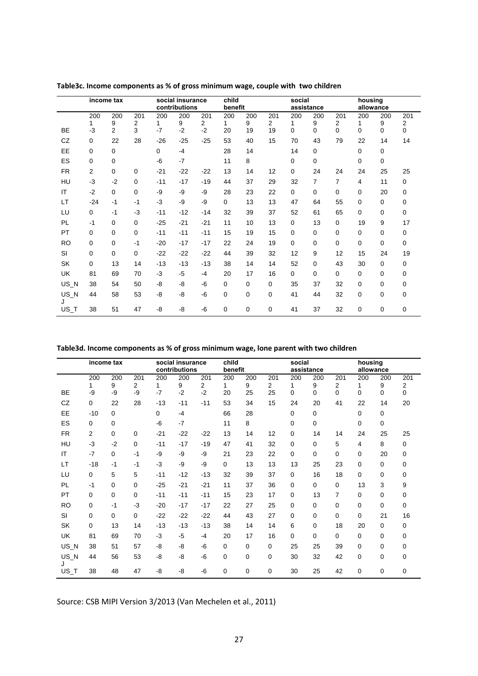|           | income tax     |          |      | social insurance<br>contributions |       |                | child       | benefit |             |             | social<br>assistance |                |             | housing<br>allowance |             |  |
|-----------|----------------|----------|------|-----------------------------------|-------|----------------|-------------|---------|-------------|-------------|----------------------|----------------|-------------|----------------------|-------------|--|
|           | 200            | 200      | 201  | 200                               | 200   | 201            | 200         | 200     | 201         | 200         | 200                  | 201            | 200         | 200                  | 201         |  |
|           | 1              | 9        | 2    | 1<br>$-7$                         | 9     | $\overline{2}$ | 1           | 9       | 2           | 1           | 9                    | 2              | 1           | 9                    | 2           |  |
| <b>BE</b> | $-3$           | 2        | 3    |                                   | $-2$  | $-2$           | 20          | 19      | 19          | 0           | $\Omega$             | $\mathbf{0}$   | $\Omega$    | $\Omega$             | $\Omega$    |  |
| CZ        | $\mathbf 0$    | 22       | 28   | $-26$                             | $-25$ | $-25$          | 53          | 40      | 15          | 70          | 43                   | 79             | 22          | 14                   | 14          |  |
| <b>EE</b> | $\Omega$       | $\Omega$ |      | $\Omega$                          | $-4$  |                | 28          | 14      |             | 14          | $\Omega$             |                | 0           | $\mathbf 0$          |             |  |
| ES        | 0              | 0        |      | -6                                | $-7$  |                | 11          | 8       |             | 0           | 0                    |                | 0           | 0                    |             |  |
| <b>FR</b> | $\overline{2}$ | $\Omega$ | 0    | $-21$                             | $-22$ | $-22$          | 13          | 14      | 12          | 0           | 24                   | 24             | 24          | 25                   | 25          |  |
| HU        | $-3$           | $-2$     | 0    | $-11$                             | $-17$ | $-19$          | 44          | 37      | 29          | 32          | $\overline{7}$       | $\overline{7}$ | 4           | 11                   | $\mathbf 0$ |  |
| IT        | $-2$           | $\Omega$ | 0    | -9                                | -9    | -9             | 28          | 23      | 22          | $\mathbf 0$ | $\Omega$             | $\Omega$       | 0           | 20                   | $\Omega$    |  |
| LT        | $-24$          | $-1$     | $-1$ | $-3$                              | -9    | -9             | $\mathbf 0$ | 13      | 13          | 47          | 64                   | 55             | 0           | 0                    | $\mathbf 0$ |  |
| LU        | $\mathbf 0$    | $-1$     | $-3$ | $-11$                             | $-12$ | $-14$          | 32          | 39      | 37          | 52          | 61                   | 65             | $\mathbf 0$ | 0                    | 0           |  |
| PL        | $-1$           | 0        | 0    | $-25$                             | $-21$ | $-21$          | 11          | 10      | 13          | 0           | 13                   | $\Omega$       | 19          | 9                    | 17          |  |
| PT        | 0              | 0        | 0    | $-11$                             | $-11$ | $-11$          | 15          | 19      | 15          | 0           | 0                    | $\Omega$       | 0           | 0                    | $\mathbf 0$ |  |
| <b>RO</b> | 0              | 0        | $-1$ | $-20$                             | $-17$ | $-17$          | 22          | 24      | 19          | 0           | 0                    | $\Omega$       | 0           | 0                    | $\Omega$    |  |
| <b>SI</b> | 0              | 0        | 0    | $-22$                             | $-22$ | $-22$          | 44          | 39      | 32          | 12          | 9                    | 12             | 15          | 24                   | 19          |  |
| SK        | $\Omega$       | 13       | 14   | $-13$                             | $-13$ | $-13$          | 38          | 14      | 14          | 52          | 0                    | 43             | 30          | 0                    | $\mathbf 0$ |  |
| <b>UK</b> | 81             | 69       | 70   | $-3$                              | $-5$  | $-4$           | 20          | 17      | 16          | $\mathbf 0$ | $\Omega$             | $\mathbf{0}$   | 0           | $\Omega$             | $\Omega$    |  |
| US_N      | 38             | 54       | 50   | -8                                | -8    | -6             | 0           | 0       | 0           | 35          | 37                   | 32             | $\Omega$    | 0                    | 0           |  |
| US_N      | 44             | 58       | 53   | -8                                | -8    | -6             | 0           | 0       | 0           | 41          | 44                   | 32             | 0           | 0                    | 0           |  |
| US_T      | 38             | 51       | 47   | -8                                | -8    | -6             | 0           | 0       | $\mathbf 0$ | 41          | 37                   | 32             | 0           | 0                    | 0           |  |

**Table3c. Income components as % of gross minimum wage, couple with two children**

**Table3d. Income components as % of gross minimum wage, lone parent with two children**

|           |                | income tax |      | social insurance<br>contributions |       |       | child       | benefit |             |             | social<br>assistance |                |     | housing<br>allowance |             |  |
|-----------|----------------|------------|------|-----------------------------------|-------|-------|-------------|---------|-------------|-------------|----------------------|----------------|-----|----------------------|-------------|--|
|           | 200            | 200        | 201  | 200                               | 200   | 201   | 200         | 200     | 201         | 200         | 200                  | 201            | 200 | 200                  | 201         |  |
|           | 1              | 9          | 2    | 1                                 | 9     | 2     | 1.          | 9       | 2           | 1           | 9                    | 2              | 1   | 9                    | 2           |  |
| <b>BE</b> | -9             | -9         | -9   | $-7$                              | $-2$  | $-2$  | 20          | 25      | 25          | 0           | $\Omega$             | 0              | 0   | 0                    | $\mathbf 0$ |  |
| CZ        | $\mathbf 0$    | 22         | 28   | $-13$                             | $-11$ | $-11$ | 53          | 34      | 15          | 24          | 20                   | 41             | 22  | 14                   | 20          |  |
| EE        | $-10$          | 0          |      | $\Omega$                          | $-4$  |       | 66          | 28      |             | $\Omega$    | 0                    |                | 0   | 0                    |             |  |
| ES        | $\mathbf 0$    | 0          |      | -6                                | $-7$  |       | 11          | 8       |             | 0           | 0                    |                | 0   | 0                    |             |  |
| <b>FR</b> | $\overline{2}$ | $\Omega$   | 0    | $-21$                             | $-22$ | $-22$ | 13          | 14      | 12          | 0           | 14                   | 14             | 24  | 25                   | 25          |  |
| HU        | $-3$           | $-2$       | 0    | $-11$                             | $-17$ | $-19$ | 47          | 41      | 32          | 0           | $\mathbf 0$          | 5              | 4   | 8                    | $\mathbf 0$ |  |
| IT        | $-7$           | 0          | $-1$ | -9                                | -9    | -9    | 21          | 23      | 22          | $\mathbf 0$ | $\Omega$             | $\Omega$       | 0   | 20                   | 0           |  |
| LT        | $-18$          | $-1$       | $-1$ | $-3$                              | -9    | -9    | $\Omega$    | 13      | 13          | 13          | 25                   | 23             | 0   | 0                    | 0           |  |
| LU        | $\mathbf 0$    | 5          | 5    | $-11$                             | $-12$ | $-13$ | 32          | 39      | 37          | 0           | 16                   | 18             | 0   | 0                    | $\mathbf 0$ |  |
| PL        | $-1$           | 0          | 0    | $-25$                             | $-21$ | $-21$ | 11          | 37      | 36          | 0           | $\Omega$             | $\mathbf 0$    | 13  | 3                    | 9           |  |
| PT        | $\mathbf 0$    | 0          | 0    | $-11$                             | $-11$ | $-11$ | 15          | 23      | 17          | 0           | 13                   | $\overline{7}$ | 0   | 0                    | 0           |  |
| <b>RO</b> | $\mathbf 0$    | $-1$       | $-3$ | $-20$                             | $-17$ | $-17$ | 22          | 27      | 25          | 0           | $\mathbf 0$          | 0              | 0   | 0                    | $\mathbf 0$ |  |
| SI        | $\Omega$       | $\Omega$   | 0    | $-22$                             | $-22$ | $-22$ | 44          | 43      | 27          | 0           | $\Omega$             | $\Omega$       | 0   | 21                   | 16          |  |
| SK        | $\Omega$       | 13         | 14   | $-13$                             | $-13$ | $-13$ | 38          | 14      | 14          | 6           | $\Omega$             | 18             | 20  | 0                    | 0           |  |
| UK        | 81             | 69         | 70   | $-3$                              | $-5$  | $-4$  | 20          | 17      | 16          | $\mathbf 0$ | $\Omega$             | 0              | 0   | 0                    | $\mathbf 0$ |  |
| US_N      | 38             | 51         | 57   | -8                                | -8    | -6    | $\mathbf 0$ | 0       | 0           | 25          | 25                   | 39             | 0   | 0                    | $\mathbf 0$ |  |
| US_N<br>J | 44             | 56         | 53   | -8                                | -8    | -6    | $\mathbf 0$ | 0       | $\mathbf 0$ | 30          | 32                   | 42             | 0   | 0                    | 0           |  |
| US_T      | 38             | 48         | 47   | -8                                | -8    | -6    | $\mathbf 0$ | 0       | 0           | 30          | 25                   | 42             | 0   | 0                    | 0           |  |

Source: CSB MIPI Version 3/2013 (Van Mechelen et al., 2011)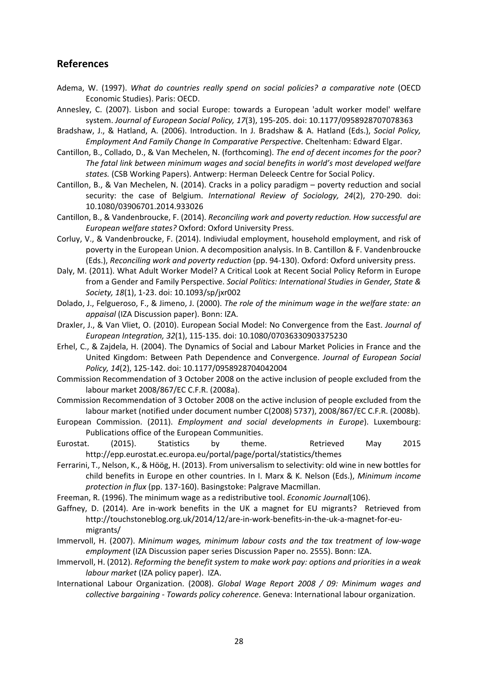# **References**

- Adema, W. (1997). *What do countries really spend on social policies? a comparative note* (OECD Economic Studies). Paris: OECD.
- Annesley, C. (2007). Lisbon and social Europe: towards a European 'adult worker model' welfare system. *Journal of European Social Policy, 17*(3), 195‐205. doi: 10.1177/0958928707078363
- Bradshaw, J., & Hatland, A. (2006). Introduction. In J. Bradshaw & A. Hatland (Eds.), *Social Policy, Employment And Family Change In Comparative Perspective*. Cheltenham: Edward Elgar.
- Cantillon, B., Collado, D., & Van Mechelen, N. (forthcoming). *The end of decent incomes for the poor? The fatal link between minimum wages and social benefits in world's most developed welfare states.* (CSB Working Papers). Antwerp: Herman Deleeck Centre for Social Policy.
- Cantillon, B., & Van Mechelen, N. (2014). Cracks in a policy paradigm poverty reduction and social security: the case of Belgium. *International Review of Sociology, 24*(2), 270‐290. doi: 10.1080/03906701.2014.933026
- Cantillon, B., & Vandenbroucke, F. (2014). *Reconciling work and poverty reduction. How successful are European welfare states?* Oxford: Oxford University Press.
- Corluy, V., & Vandenbroucke, F. (2014). Indiviudal employment, household employment, and risk of poverty in the European Union. A decomposition analysis. In B. Cantillon & F. Vandenbroucke (Eds.), *Reconciling work and poverty reduction* (pp. 94‐130). Oxford: Oxford university press.
- Daly, M. (2011). What Adult Worker Model? A Critical Look at Recent Social Policy Reform in Europe from a Gender and Family Perspective. *Social Politics: International Studies in Gender, State & Society, 18*(1), 1‐23. doi: 10.1093/sp/jxr002
- Dolado, J., Felgueroso, F., & Jimeno, J. (2000). *The role of the minimum wage in the welfare state: an appaisal* (IZA Discussion paper). Bonn: IZA.
- Draxler, J., & Van Vliet, O. (2010). European Social Model: No Convergence from the East. *Journal of European Integration, 32*(1), 115‐135. doi: 10.1080/07036330903375230
- Erhel, C., & Zajdela, H. (2004). The Dynamics of Social and Labour Market Policies in France and the United Kingdom: Between Path Dependence and Convergence. *Journal of European Social Policy, 14*(2), 125‐142. doi: 10.1177/0958928704042004
- Commission Recommendation of 3 October 2008 on the active inclusion of people excluded from the labour market 2008/867/EC C.F.R. (2008a).
- Commission Recommendation of 3 October 2008 on the active inclusion of people excluded from the labour market (notified under document number C(2008) 5737), 2008/867/EC C.F.R. (2008b).
- European Commission. (2011). *Employment and social developments in Europe*). Luxembourg: Publications office of the European Communities.
- Eurostat. (2015). Statistics by theme. Retrieved May 2015 http://epp.eurostat.ec.europa.eu/portal/page/portal/statistics/themes
- Ferrarini, T., Nelson, K., & Höög, H. (2013). From universalism to selectivity: old wine in new bottles for child benefits in Europe en other countries. In I. Marx & K. Nelson (Eds.), *Minimum income protection in flux* (pp. 137‐160). Basingstoke: Palgrave Macmillan.
- Freeman, R. (1996). The minimum wage as a redistributive tool. *Economic Journal*(106).
- Gaffney, D. (2014). Are in-work benefits in the UK a magnet for EU migrants? Retrieved from http://touchstoneblog.org.uk/2014/12/are‐in‐work‐benefits‐in‐the‐uk‐a‐magnet‐for‐eu‐ migrants/
- Immervoll, H. (2007). *Minimum wages, minimum labour costs and the tax treatment of low‐wage employment* (IZA Discussion paper series Discussion Paper no. 2555). Bonn: IZA.
- Immervoll, H. (2012). *Reforming the benefit system to make work pay: options and priorities in a weak labour market* (IZA policy paper). IZA.
- International Labour Organization. (2008). *Global Wage Report 2008 / 09: Minimum wages and collective bargaining ‐ Towards policy coherence*. Geneva: International labour organization.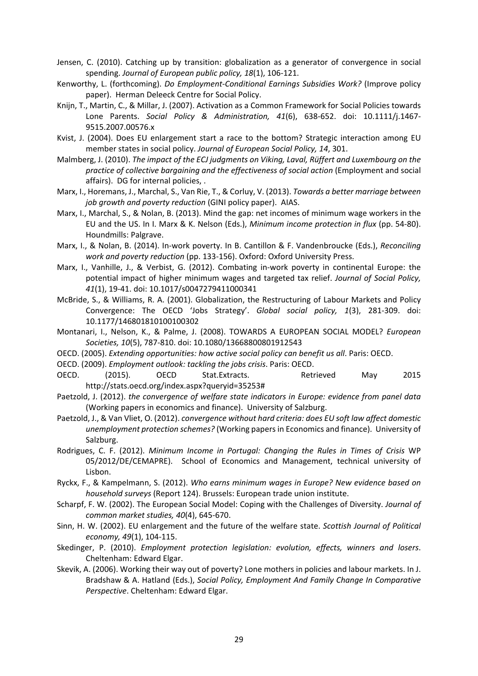- Jensen, C. (2010). Catching up by transition: globalization as a generator of convergence in social spending. *Journal of European public policy, 18*(1), 106‐121.
- Kenworthy, L. (forthcoming). *Do Employment‐Conditional Earnings Subsidies Work?* (Improve policy paper). Herman Deleeck Centre for Social Policy.
- Knijn, T., Martin, C., & Millar, J. (2007). Activation as a Common Framework for Social Policies towards Lone Parents. *Social Policy & Administration, 41*(6), 638‐652. doi: 10.1111/j.1467‐ 9515.2007.00576.x
- Kvist, J. (2004). Does EU enlargement start a race to the bottom? Strategic interaction among EU member states in social policy. *Journal of European Social Policy, 14*, 301.
- Malmberg, J. (2010). *The impact of the ECJ judgments on Viking, Laval, Rüffert and Luxembourg on the practice of collective bargaining and the effectiveness of social action* (Employment and social affairs). DG for internal policies, .
- Marx, I., Horemans, J., Marchal, S., Van Rie, T., & Corluy, V. (2013). *Towards a better marriage between job growth and poverty reduction* (GINI policy paper). AIAS.
- Marx, I., Marchal, S., & Nolan, B. (2013). Mind the gap: net incomes of minimum wage workers in the EU and the US. In I. Marx & K. Nelson (Eds.), *Minimum income protection in flux* (pp. 54‐80). Houndmills: Palgrave.
- Marx, I., & Nolan, B. (2014). In‐work poverty. In B. Cantillon & F. Vandenbroucke (Eds.), *Reconciling work and poverty reduction* (pp. 133‐156). Oxford: Oxford University Press.
- Marx, I., Vanhille, J., & Verbist, G. (2012). Combating in‐work poverty in continental Europe: the potential impact of higher minimum wages and targeted tax relief. *Journal of Social Policy, 41*(1), 19‐41. doi: 10.1017/s0047279411000341
- McBride, S., & Williams, R. A. (2001). Globalization, the Restructuring of Labour Markets and Policy Convergence: The OECD 'Jobs Strategy'. *Global social policy, 1*(3), 281‐309. doi: 10.1177/146801810100100302
- Montanari, I., Nelson, K., & Palme, J. (2008). TOWARDS A EUROPEAN SOCIAL MODEL? *European Societies, 10*(5), 787‐810. doi: 10.1080/13668800801912543
- OECD. (2005). *Extending opportunities: how active social policy can benefit us all*. Paris: OECD.
- OECD. (2009). *Employment outlook: tackling the jobs crisis*. Paris: OECD.
- OECD. (2015). OECD Stat.Extracts. Retrieved May 2015 http://stats.oecd.org/index.aspx?queryid=35253#
- Paetzold, J. (2012). *the convergence of welfare state indicators in Europe: evidence from panel data* (Working papers in economics and finance). University of Salzburg.
- Paetzold, J., & Van Vliet, O. (2012). *convergence without hard criteria: does EU soft law affect domestic unemployment protection schemes?* (Working papersin Economics and finance). University of Salzburg.
- Rodrigues, C. F. (2012). *Minimum Income in Portugal: Changing the Rules in Times of Crisis* WP 05/2012/DE/CEMAPRE). School of Economics and Management, technical university of Lisbon.
- Ryckx, F., & Kampelmann, S. (2012). *Who earns minimum wages in Europe? New evidence based on household surveys* (Report 124). Brussels: European trade union institute.
- Scharpf, F. W. (2002). The European Social Model: Coping with the Challenges of Diversity. *Journal of common market studies, 40*(4), 645‐670.
- Sinn, H. W. (2002). EU enlargement and the future of the welfare state. *Scottish Journal of Political economy, 49*(1), 104‐115.
- Skedinger, P. (2010). *Employment protection legislation: evolution, effects, winners and losers*. Cheltenham: Edward Elgar.
- Skevik, A. (2006). Working their way out of poverty? Lone mothers in policies and labour markets. In J. Bradshaw & A. Hatland (Eds.), *Social Policy, Employment And Family Change In Comparative Perspective*. Cheltenham: Edward Elgar.